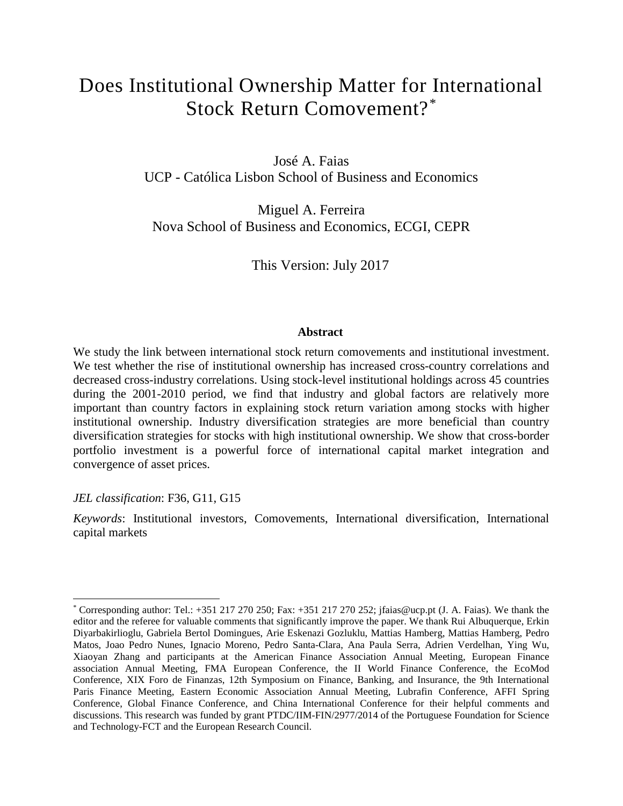# Does Institutional Ownership Matter for International Stock Return Comovement?[\\*](#page-0-0)

José A. Faias UCP - Católica Lisbon School of Business and Economics

Miguel A. Ferreira Nova School of Business and Economics, ECGI, CEPR

This Version: July 2017

#### **Abstract**

We study the link between international stock return comovements and institutional investment. We test whether the rise of institutional ownership has increased cross-country correlations and decreased cross-industry correlations. Using stock-level institutional holdings across 45 countries during the 2001-2010 period, we find that industry and global factors are relatively more important than country factors in explaining stock return variation among stocks with higher institutional ownership. Industry diversification strategies are more beneficial than country diversification strategies for stocks with high institutional ownership. We show that cross-border portfolio investment is a powerful force of international capital market integration and convergence of asset prices.

## *JEL classification*: F36, G11, G15

*Keywords*: Institutional investors, Comovements, International diversification, International capital markets

<span id="page-0-0"></span><sup>\*</sup> Corresponding author: Tel.: +351 217 270 250; Fax: +351 217 270 252; jfaias@ucp.pt (J. A. Faias). We thank the editor and the referee for valuable comments that significantly improve the paper. We thank Rui Albuquerque, Erkin Diyarbakirlioglu, Gabriela Bertol Domingues, Arie Eskenazi Gozluklu, Mattias Hamberg, Mattias Hamberg, Pedro Matos, Joao Pedro Nunes, Ignacio Moreno, Pedro Santa-Clara, Ana Paula Serra, Adrien Verdelhan, Ying Wu, Xiaoyan Zhang and participants at the American Finance Association Annual Meeting, European Finance association Annual Meeting, FMA European Conference, the II World Finance Conference, the EcoMod Conference, XIX Foro de Finanzas, 12th Symposium on Finance, Banking, and Insurance, the 9th International Paris Finance Meeting, Eastern Economic Association Annual Meeting, Lubrafin Conference, AFFI Spring Conference, Global Finance Conference, and China International Conference for their helpful comments and discussions. This research was funded by grant PTDC/IIM-FIN/2977/2014 of the Portuguese Foundation for Science and Technology-FCT and the European Research Council.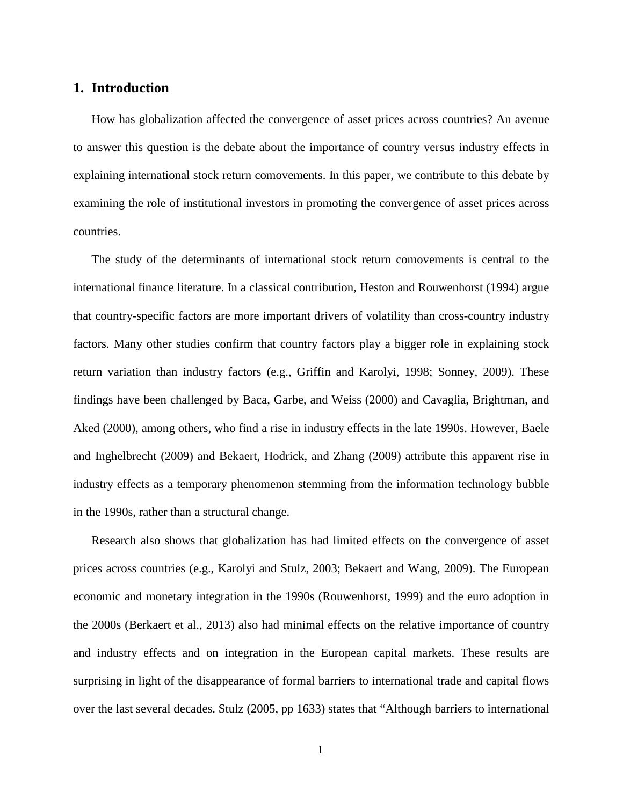## **1. Introduction**

How has globalization affected the convergence of asset prices across countries? An avenue to answer this question is the debate about the importance of country versus industry effects in explaining international stock return comovements. In this paper, we contribute to this debate by examining the role of institutional investors in promoting the convergence of asset prices across countries.

The study of the determinants of international stock return comovements is central to the international finance literature. In a classical contribution, Heston and Rouwenhorst (1994) argue that country-specific factors are more important drivers of volatility than cross-country industry factors. Many other studies confirm that country factors play a bigger role in explaining stock return variation than industry factors (e.g., Griffin and Karolyi, 1998; Sonney, 2009). These findings have been challenged by Baca, Garbe, and Weiss (2000) and Cavaglia, Brightman, and Aked (2000), among others, who find a rise in industry effects in the late 1990s. However, Baele and Inghelbrecht (2009) and Bekaert, Hodrick, and Zhang (2009) attribute this apparent rise in industry effects as a temporary phenomenon stemming from the information technology bubble in the 1990s, rather than a structural change.

Research also shows that globalization has had limited effects on the convergence of asset prices across countries (e.g., Karolyi and Stulz, 2003; Bekaert and Wang, 2009). The European economic and monetary integration in the 1990s (Rouwenhorst, 1999) and the euro adoption in the 2000s (Berkaert et al., 2013) also had minimal effects on the relative importance of country and industry effects and on integration in the European capital markets. These results are surprising in light of the disappearance of formal barriers to international trade and capital flows over the last several decades. Stulz (2005, pp 1633) states that "Although barriers to international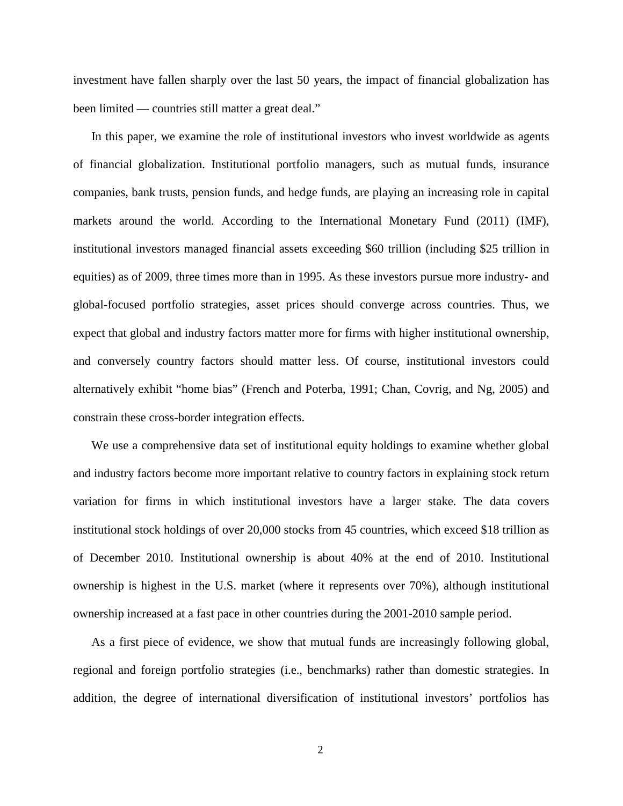investment have fallen sharply over the last 50 years, the impact of financial globalization has been limited — countries still matter a great deal."

In this paper, we examine the role of institutional investors who invest worldwide as agents of financial globalization. Institutional portfolio managers, such as mutual funds, insurance companies, bank trusts, pension funds, and hedge funds, are playing an increasing role in capital markets around the world. According to the International Monetary Fund (2011) (IMF), institutional investors managed financial assets exceeding \$60 trillion (including \$25 trillion in equities) as of 2009, three times more than in 1995. As these investors pursue more industry- and global-focused portfolio strategies, asset prices should converge across countries. Thus, we expect that global and industry factors matter more for firms with higher institutional ownership, and conversely country factors should matter less. Of course, institutional investors could alternatively exhibit "home bias" (French and Poterba, 1991; Chan, Covrig, and Ng, 2005) and constrain these cross-border integration effects.

We use a comprehensive data set of institutional equity holdings to examine whether global and industry factors become more important relative to country factors in explaining stock return variation for firms in which institutional investors have a larger stake. The data covers institutional stock holdings of over 20,000 stocks from 45 countries, which exceed \$18 trillion as of December 2010. Institutional ownership is about 40% at the end of 2010. Institutional ownership is highest in the U.S. market (where it represents over 70%), although institutional ownership increased at a fast pace in other countries during the 2001-2010 sample period.

As a first piece of evidence, we show that mutual funds are increasingly following global, regional and foreign portfolio strategies (i.e., benchmarks) rather than domestic strategies. In addition, the degree of international diversification of institutional investors' portfolios has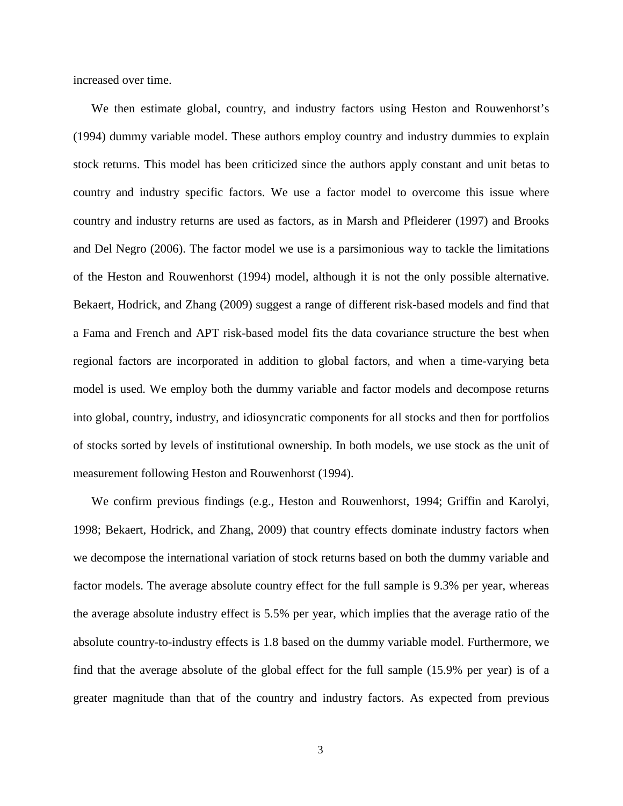increased over time.

We then estimate global, country, and industry factors using Heston and Rouwenhorst's (1994) dummy variable model. These authors employ country and industry dummies to explain stock returns. This model has been criticized since the authors apply constant and unit betas to country and industry specific factors. We use a factor model to overcome this issue where country and industry returns are used as factors, as in Marsh and Pfleiderer (1997) and Brooks and Del Negro (2006). The factor model we use is a parsimonious way to tackle the limitations of the Heston and Rouwenhorst (1994) model, although it is not the only possible alternative. Bekaert, Hodrick, and Zhang (2009) suggest a range of different risk-based models and find that a Fama and French and APT risk-based model fits the data covariance structure the best when regional factors are incorporated in addition to global factors, and when a time-varying beta model is used. We employ both the dummy variable and factor models and decompose returns into global, country, industry, and idiosyncratic components for all stocks and then for portfolios of stocks sorted by levels of institutional ownership. In both models, we use stock as the unit of measurement following Heston and Rouwenhorst (1994).

We confirm previous findings (e.g., Heston and Rouwenhorst, 1994; Griffin and Karolyi, 1998; Bekaert, Hodrick, and Zhang, 2009) that country effects dominate industry factors when we decompose the international variation of stock returns based on both the dummy variable and factor models. The average absolute country effect for the full sample is 9.3% per year, whereas the average absolute industry effect is 5.5% per year, which implies that the average ratio of the absolute country-to-industry effects is 1.8 based on the dummy variable model. Furthermore, we find that the average absolute of the global effect for the full sample (15.9% per year) is of a greater magnitude than that of the country and industry factors. As expected from previous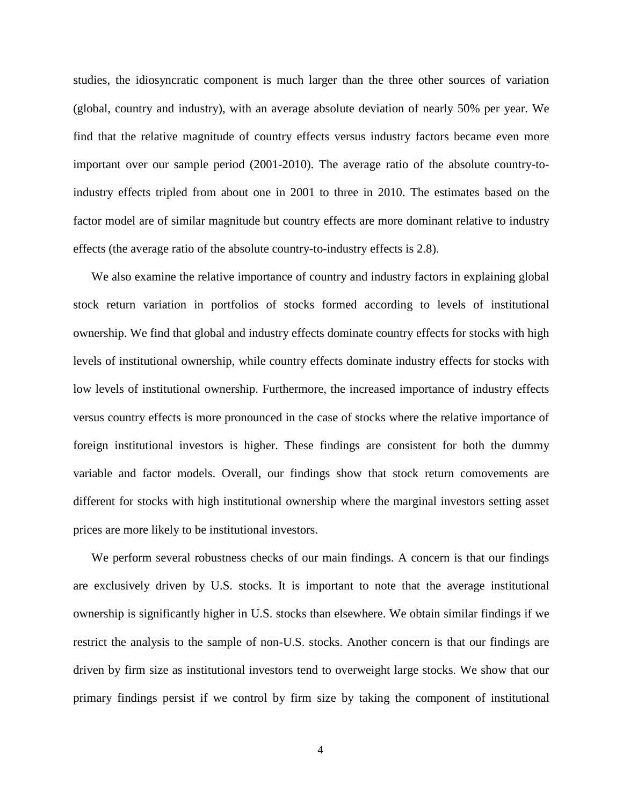studies, the idiosyncratic component is much larger than the three other sources of variation (global, country and industry), with an average absolute deviation of nearly 50% per year. We find that the relative magnitude of country effects versus industry factors became even more important over our sample period (2001-2010). The average ratio of the absolute country-toindustry effects tripled from about one in 2001 to three in 2010. The estimates based on the factor model are of similar magnitude but country effects are more dominant relative to industry effects (the average ratio of the absolute country-to-industry effects is 2.8).

We also examine the relative importance of country and industry factors in explaining global stock return variation in portfolios of stocks formed according to levels of institutional ownership. We find that global and industry effects dominate country effects for stocks with high levels of institutional ownership, while country effects dominate industry effects for stocks with low levels of institutional ownership. Furthermore, the increased importance of industry effects versus country effects is more pronounced in the case of stocks where the relative importance of foreign institutional investors is higher. These findings are consistent for both the dummy variable and factor models. Overall, our findings show that stock return comovements are different for stocks with high institutional ownership where the marginal investors setting asset prices are more likely to be institutional investors.

We perform several robustness checks of our main findings. A concern is that our findings are exclusively driven by U.S. stocks. It is important to note that the average institutional ownership is significantly higher in U.S. stocks than elsewhere. We obtain similar findings if we restrict the analysis to the sample of non-U.S. stocks. Another concern is that our findings are driven by firm size as institutional investors tend to overweight large stocks. We show that our primary findings persist if we control by firm size by taking the component of institutional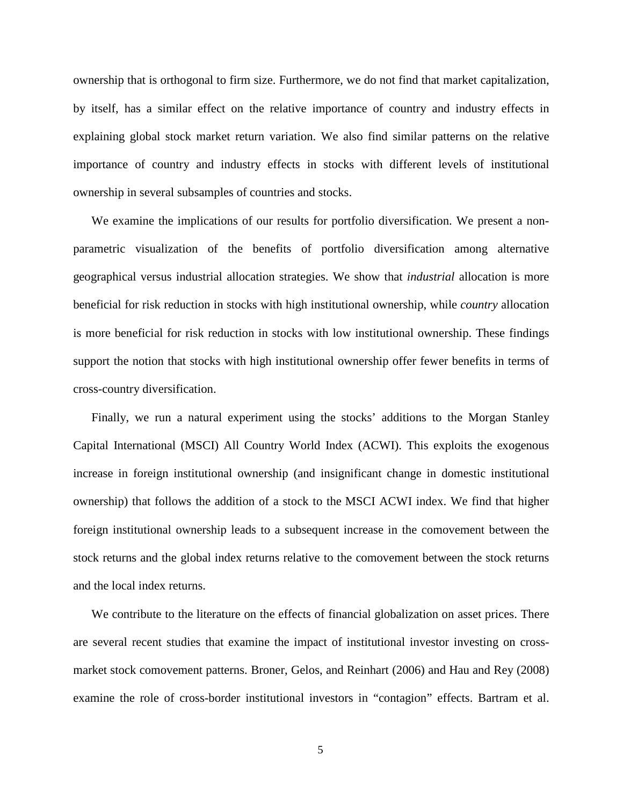ownership that is orthogonal to firm size. Furthermore, we do not find that market capitalization, by itself, has a similar effect on the relative importance of country and industry effects in explaining global stock market return variation. We also find similar patterns on the relative importance of country and industry effects in stocks with different levels of institutional ownership in several subsamples of countries and stocks.

We examine the implications of our results for portfolio diversification. We present a nonparametric visualization of the benefits of portfolio diversification among alternative geographical versus industrial allocation strategies. We show that *industrial* allocation is more beneficial for risk reduction in stocks with high institutional ownership, while *country* allocation is more beneficial for risk reduction in stocks with low institutional ownership. These findings support the notion that stocks with high institutional ownership offer fewer benefits in terms of cross-country diversification.

Finally, we run a natural experiment using the stocks' additions to the Morgan Stanley Capital International (MSCI) All Country World Index (ACWI). This exploits the exogenous increase in foreign institutional ownership (and insignificant change in domestic institutional ownership) that follows the addition of a stock to the MSCI ACWI index. We find that higher foreign institutional ownership leads to a subsequent increase in the comovement between the stock returns and the global index returns relative to the comovement between the stock returns and the local index returns.

We contribute to the literature on the effects of financial globalization on asset prices. There are several recent studies that examine the impact of institutional investor investing on crossmarket stock comovement patterns. Broner, Gelos, and Reinhart (2006) and Hau and Rey (2008) examine the role of cross-border institutional investors in "contagion" effects. Bartram et al.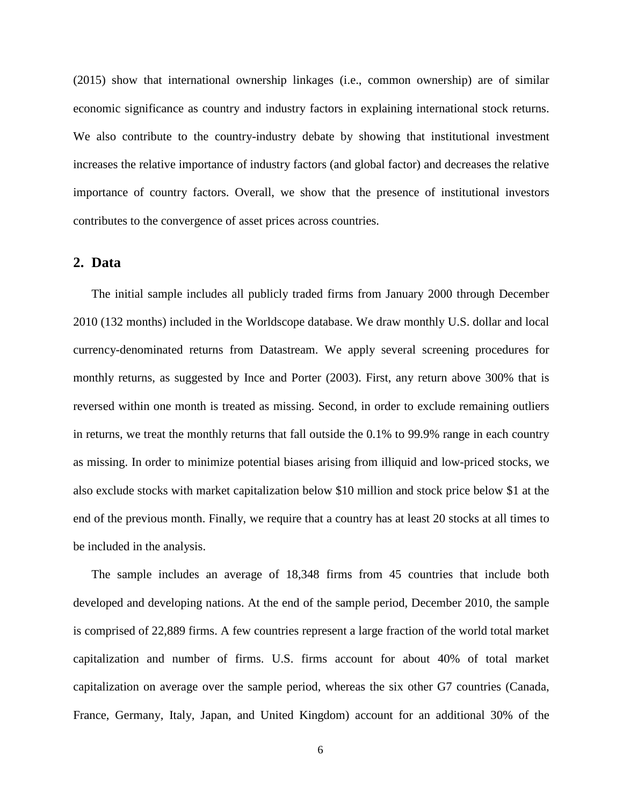(2015) show that international ownership linkages (i.e., common ownership) are of similar economic significance as country and industry factors in explaining international stock returns. We also contribute to the country-industry debate by showing that institutional investment increases the relative importance of industry factors (and global factor) and decreases the relative importance of country factors. Overall, we show that the presence of institutional investors contributes to the convergence of asset prices across countries.

## **2. Data**

The initial sample includes all publicly traded firms from January 2000 through December 2010 (132 months) included in the Worldscope database. We draw monthly U.S. dollar and local currency-denominated returns from Datastream. We apply several screening procedures for monthly returns, as suggested by Ince and Porter (2003). First, any return above 300% that is reversed within one month is treated as missing. Second, in order to exclude remaining outliers in returns, we treat the monthly returns that fall outside the 0.1% to 99.9% range in each country as missing. In order to minimize potential biases arising from illiquid and low-priced stocks, we also exclude stocks with market capitalization below \$10 million and stock price below \$1 at the end of the previous month. Finally, we require that a country has at least 20 stocks at all times to be included in the analysis.

The sample includes an average of 18,348 firms from 45 countries that include both developed and developing nations. At the end of the sample period, December 2010, the sample is comprised of 22,889 firms. A few countries represent a large fraction of the world total market capitalization and number of firms. U.S. firms account for about 40% of total market capitalization on average over the sample period, whereas the six other G7 countries (Canada, France, Germany, Italy, Japan, and United Kingdom) account for an additional 30% of the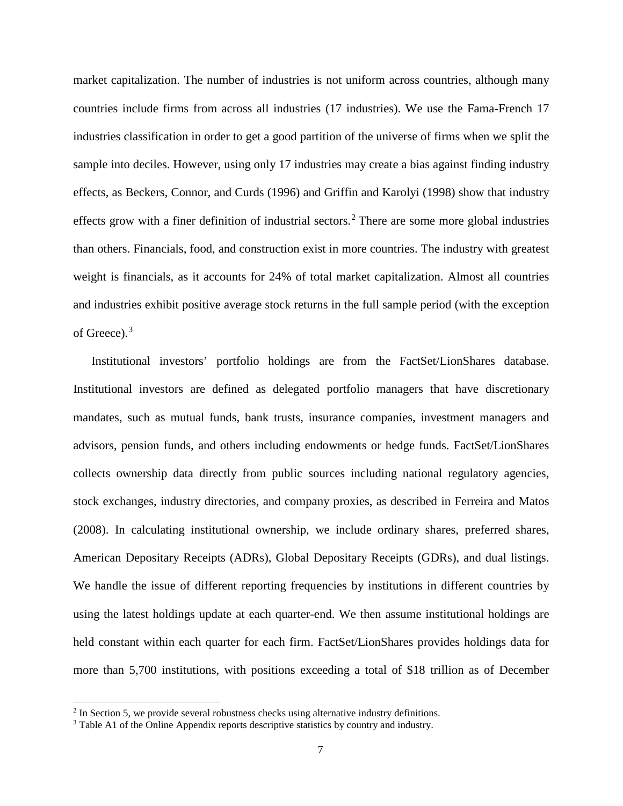market capitalization. The number of industries is not uniform across countries, although many countries include firms from across all industries (17 industries). We use the Fama-French 17 industries classification in order to get a good partition of the universe of firms when we split the sample into deciles. However, using only 17 industries may create a bias against finding industry effects, as Beckers, Connor, and Curds (1996) and Griffin and Karolyi (1998) show that industry effects grow with a finer definition of industrial sectors.<sup>[2](#page-7-0)</sup> There are some more global industries than others. Financials, food, and construction exist in more countries. The industry with greatest weight is financials, as it accounts for 24% of total market capitalization. Almost all countries and industries exhibit positive average stock returns in the full sample period (with the exception of Greece).<sup>[3](#page-7-1)</sup>

Institutional investors' portfolio holdings are from the FactSet/LionShares database. Institutional investors are defined as delegated portfolio managers that have discretionary mandates, such as mutual funds, bank trusts, insurance companies, investment managers and advisors, pension funds, and others including endowments or hedge funds. FactSet/LionShares collects ownership data directly from public sources including national regulatory agencies, stock exchanges, industry directories, and company proxies, as described in Ferreira and Matos (2008). In calculating institutional ownership, we include ordinary shares, preferred shares, American Depositary Receipts (ADRs), Global Depositary Receipts (GDRs), and dual listings. We handle the issue of different reporting frequencies by institutions in different countries by using the latest holdings update at each quarter-end. We then assume institutional holdings are held constant within each quarter for each firm. FactSet/LionShares provides holdings data for more than 5,700 institutions, with positions exceeding a total of \$18 trillion as of December

<span id="page-7-0"></span><sup>&</sup>lt;sup>2</sup> In Section 5, we provide several robustness checks using alternative industry definitions.

<span id="page-7-1"></span><sup>&</sup>lt;sup>3</sup> Table A1 of the Online Appendix reports descriptive statistics by country and industry.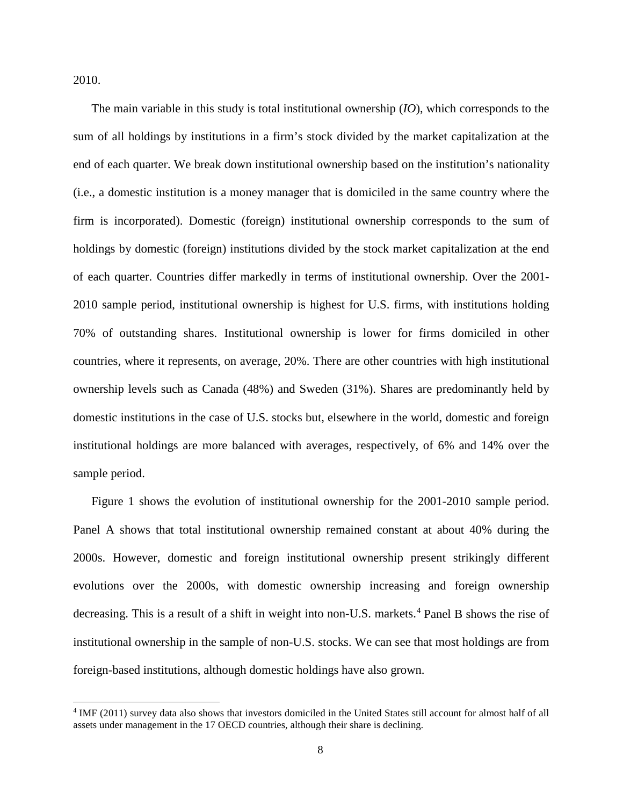2010.

The main variable in this study is total institutional ownership (*IO*), which corresponds to the sum of all holdings by institutions in a firm's stock divided by the market capitalization at the end of each quarter. We break down institutional ownership based on the institution's nationality (i.e., a domestic institution is a money manager that is domiciled in the same country where the firm is incorporated). Domestic (foreign) institutional ownership corresponds to the sum of holdings by domestic (foreign) institutions divided by the stock market capitalization at the end of each quarter. Countries differ markedly in terms of institutional ownership. Over the 2001- 2010 sample period, institutional ownership is highest for U.S. firms, with institutions holding 70% of outstanding shares. Institutional ownership is lower for firms domiciled in other countries, where it represents, on average, 20%. There are other countries with high institutional ownership levels such as Canada (48%) and Sweden (31%). Shares are predominantly held by domestic institutions in the case of U.S. stocks but, elsewhere in the world, domestic and foreign institutional holdings are more balanced with averages, respectively, of 6% and 14% over the sample period.

Figure 1 shows the evolution of institutional ownership for the 2001-2010 sample period. Panel A shows that total institutional ownership remained constant at about 40% during the 2000s. However, domestic and foreign institutional ownership present strikingly different evolutions over the 2000s, with domestic ownership increasing and foreign ownership decreasing. This is a result of a shift in weight into non-U.S. markets. [4](#page-8-0) Panel B shows the rise of institutional ownership in the sample of non-U.S. stocks. We can see that most holdings are from foreign-based institutions, although domestic holdings have also grown.

<span id="page-8-0"></span> <sup>4</sup> IMF (2011) survey data also shows that investors domiciled in the United States still account for almost half of all assets under management in the 17 OECD countries, although their share is declining.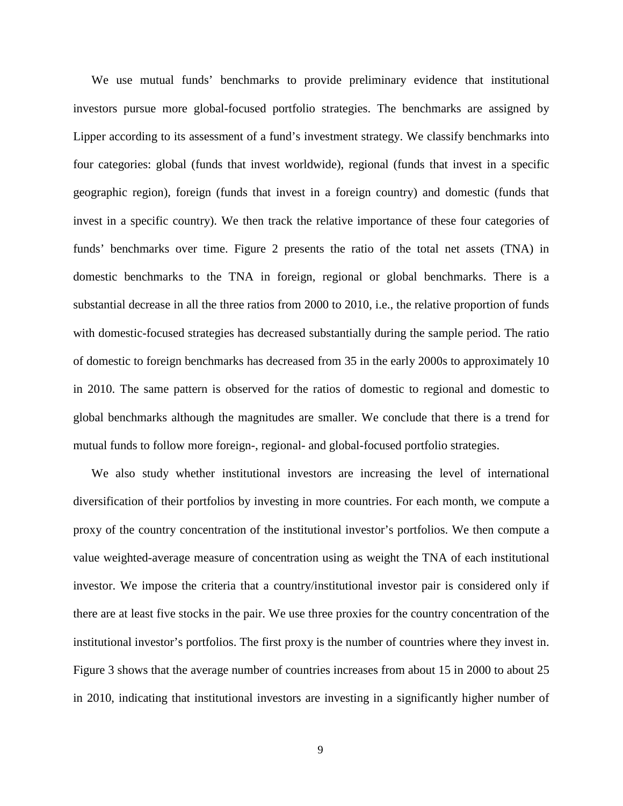We use mutual funds' benchmarks to provide preliminary evidence that institutional investors pursue more global-focused portfolio strategies. The benchmarks are assigned by Lipper according to its assessment of a fund's investment strategy. We classify benchmarks into four categories: global (funds that invest worldwide), regional (funds that invest in a specific geographic region), foreign (funds that invest in a foreign country) and domestic (funds that invest in a specific country). We then track the relative importance of these four categories of funds' benchmarks over time. Figure 2 presents the ratio of the total net assets (TNA) in domestic benchmarks to the TNA in foreign, regional or global benchmarks. There is a substantial decrease in all the three ratios from 2000 to 2010, i.e., the relative proportion of funds with domestic-focused strategies has decreased substantially during the sample period. The ratio of domestic to foreign benchmarks has decreased from 35 in the early 2000s to approximately 10 in 2010. The same pattern is observed for the ratios of domestic to regional and domestic to global benchmarks although the magnitudes are smaller. We conclude that there is a trend for mutual funds to follow more foreign-, regional- and global-focused portfolio strategies.

We also study whether institutional investors are increasing the level of international diversification of their portfolios by investing in more countries. For each month, we compute a proxy of the country concentration of the institutional investor's portfolios. We then compute a value weighted-average measure of concentration using as weight the TNA of each institutional investor. We impose the criteria that a country/institutional investor pair is considered only if there are at least five stocks in the pair. We use three proxies for the country concentration of the institutional investor's portfolios. The first proxy is the number of countries where they invest in. Figure 3 shows that the average number of countries increases from about 15 in 2000 to about 25 in 2010, indicating that institutional investors are investing in a significantly higher number of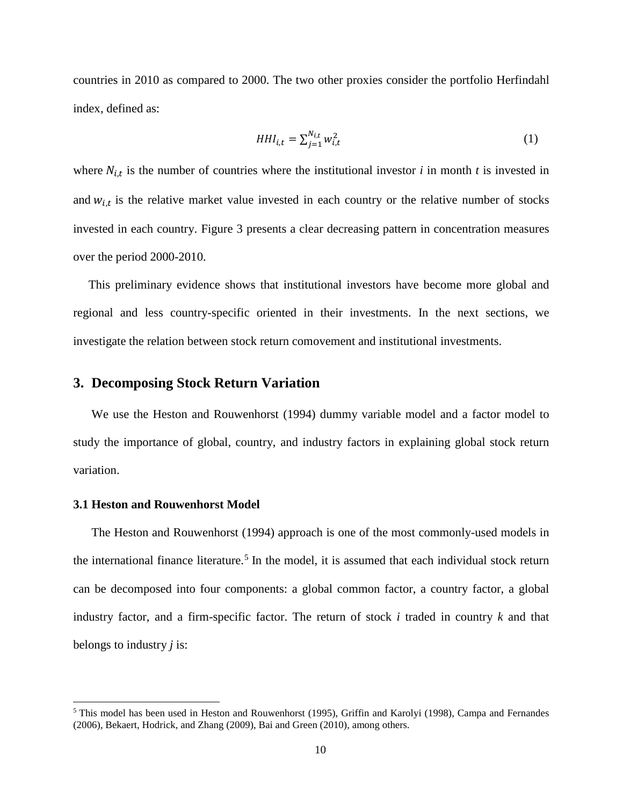countries in 2010 as compared to 2000. The two other proxies consider the portfolio Herfindahl index, defined as:

$$
HHI_{i,t} = \sum_{j=1}^{N_{i,t}} w_{i,t}^2
$$
 (1)

where  $N_{i,t}$  is the number of countries where the institutional investor *i* in month *t* is invested in and  $w_{i,t}$  is the relative market value invested in each country or the relative number of stocks invested in each country. Figure 3 presents a clear decreasing pattern in concentration measures over the period 2000-2010.

 This preliminary evidence shows that institutional investors have become more global and regional and less country-specific oriented in their investments. In the next sections, we investigate the relation between stock return comovement and institutional investments.

# **3. Decomposing Stock Return Variation**

We use the Heston and Rouwenhorst (1994) dummy variable model and a factor model to study the importance of global, country, and industry factors in explaining global stock return variation.

## **3.1 Heston and Rouwenhorst Model**

The Heston and Rouwenhorst (1994) approach is one of the most commonly-used models in the international finance literature. [5](#page-10-0) In the model, it is assumed that each individual stock return can be decomposed into four components: a global common factor, a country factor, a global industry factor, and a firm-specific factor. The return of stock *i* traded in country *k* and that belongs to industry *j* is:

<span id="page-10-0"></span> <sup>5</sup> This model has been used in Heston and Rouwenhorst (1995), Griffin and Karolyi (1998), Campa and Fernandes (2006), Bekaert, Hodrick, and Zhang (2009), Bai and Green (2010), among others.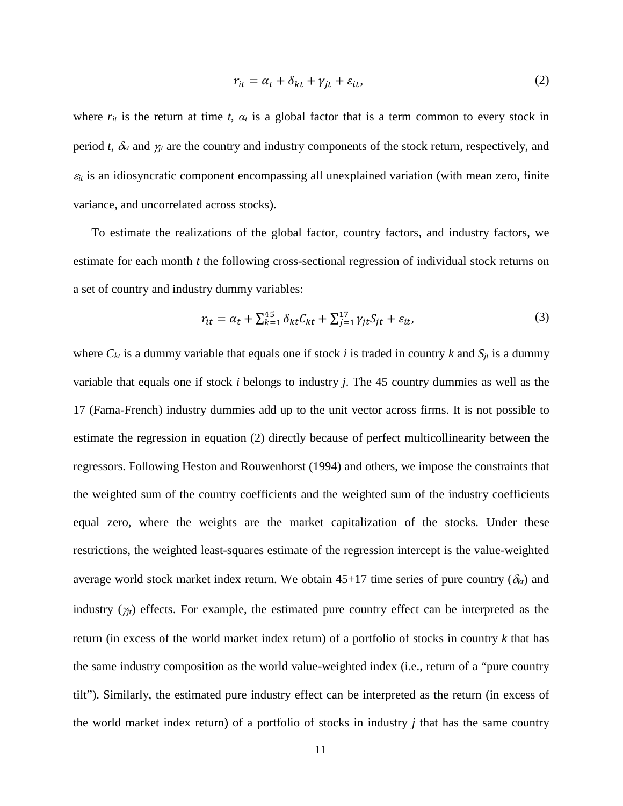$$
r_{it} = \alpha_t + \delta_{kt} + \gamma_{jt} + \varepsilon_{it},\tag{2}
$$

where  $r_{it}$  is the return at time *t*,  $\alpha_t$  is a global factor that is a term common to every stock in period *t*, δ*kt* and <sup>γ</sup>*jt* are the country and industry components of the stock return, respectively, and  $\varepsilon_{it}$  is an idiosyncratic component encompassing all unexplained variation (with mean zero, finite variance, and uncorrelated across stocks).

To estimate the realizations of the global factor, country factors, and industry factors, we estimate for each month *t* the following cross-sectional regression of individual stock returns on a set of country and industry dummy variables:

$$
r_{it} = \alpha_t + \sum_{k=1}^{45} \delta_{kt} C_{kt} + \sum_{j=1}^{17} \gamma_{jt} S_{jt} + \varepsilon_{it},\tag{3}
$$

where  $C_{kt}$  is a dummy variable that equals one if stock *i* is traded in country *k* and  $S_{jt}$  is a dummy variable that equals one if stock *i* belongs to industry *j*. The 45 country dummies as well as the 17 (Fama-French) industry dummies add up to the unit vector across firms. It is not possible to estimate the regression in equation (2) directly because of perfect multicollinearity between the regressors. Following Heston and Rouwenhorst (1994) and others, we impose the constraints that the weighted sum of the country coefficients and the weighted sum of the industry coefficients equal zero, where the weights are the market capitalization of the stocks. Under these restrictions, the weighted least-squares estimate of the regression intercept is the value-weighted average world stock market index return. We obtain  $45+17$  time series of pure country ( $\delta_{kt}$ ) and industry  $(\gamma_t)$  effects. For example, the estimated pure country effect can be interpreted as the return (in excess of the world market index return) of a portfolio of stocks in country *k* that has the same industry composition as the world value-weighted index (i.e., return of a "pure country tilt"). Similarly, the estimated pure industry effect can be interpreted as the return (in excess of the world market index return) of a portfolio of stocks in industry *j* that has the same country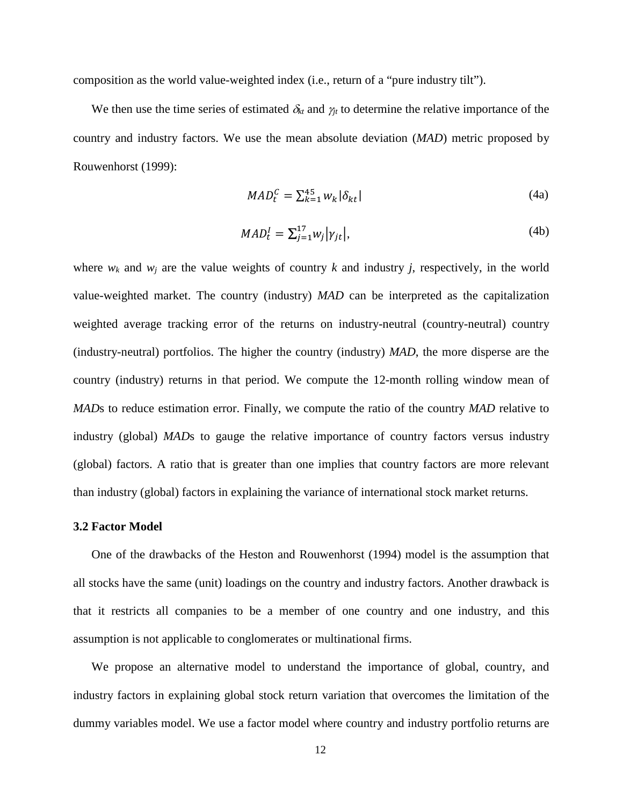composition as the world value-weighted index (i.e., return of a "pure industry tilt").

We then use the time series of estimated  $\delta_{kt}$  and  $\gamma_t$  to determine the relative importance of the country and industry factors. We use the mean absolute deviation (*MAD*) metric proposed by Rouwenhorst (1999):

$$
MAD_t^C = \sum_{k=1}^{45} w_k |\delta_{kt}| \tag{4a}
$$

$$
MAD_t^I = \sum_{j=1}^{17} w_j |\gamma_{jt}|,\tag{4b}
$$

where  $w_k$  and  $w_j$  are the value weights of country k and industry *j*, respectively, in the world value-weighted market. The country (industry) *MAD* can be interpreted as the capitalization weighted average tracking error of the returns on industry-neutral (country-neutral) country (industry-neutral) portfolios. The higher the country (industry) *MAD*, the more disperse are the country (industry) returns in that period. We compute the 12-month rolling window mean of *MAD*s to reduce estimation error. Finally, we compute the ratio of the country *MAD* relative to industry (global) *MAD*s to gauge the relative importance of country factors versus industry (global) factors. A ratio that is greater than one implies that country factors are more relevant than industry (global) factors in explaining the variance of international stock market returns.

#### **3.2 Factor Model**

One of the drawbacks of the Heston and Rouwenhorst (1994) model is the assumption that all stocks have the same (unit) loadings on the country and industry factors. Another drawback is that it restricts all companies to be a member of one country and one industry, and this assumption is not applicable to conglomerates or multinational firms.

We propose an alternative model to understand the importance of global, country, and industry factors in explaining global stock return variation that overcomes the limitation of the dummy variables model. We use a factor model where country and industry portfolio returns are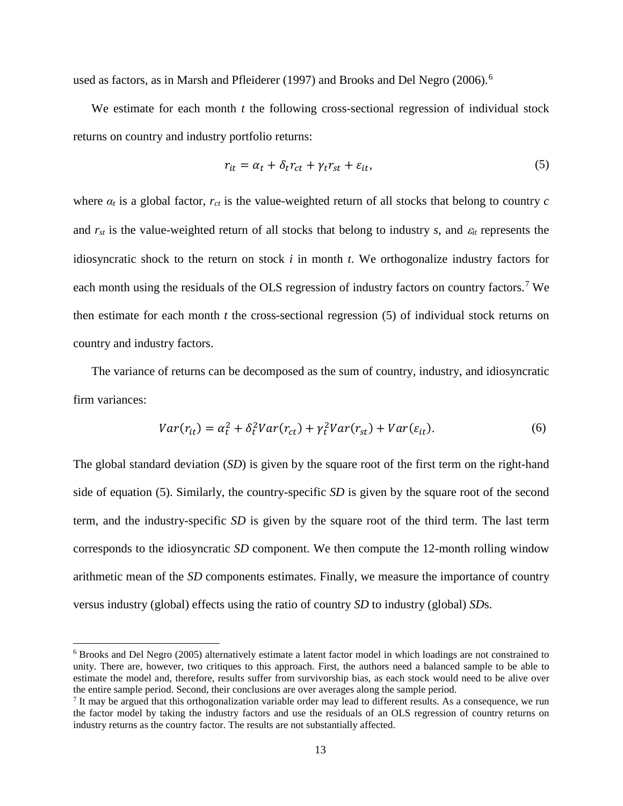used as factors, as in Marsh and Pfleiderer (1997) and Brooks and Del Negro (2006). [6](#page-13-0)

We estimate for each month *t* the following cross-sectional regression of individual stock returns on country and industry portfolio returns:

$$
r_{it} = \alpha_t + \delta_t r_{ct} + \gamma_t r_{st} + \varepsilon_{it},\tag{5}
$$

where  $a_t$  is a global factor,  $r_{ct}$  is the value-weighted return of all stocks that belong to country  $c$ and  $r_{st}$  is the value-weighted return of all stocks that belong to industry *s*, and  $\varepsilon_{it}$  represents the idiosyncratic shock to the return on stock *i* in month *t*. We orthogonalize industry factors for each month using the residuals of the OLS regression of industry factors on country factors.<sup>[7](#page-13-1)</sup> We then estimate for each month *t* the cross-sectional regression (5) of individual stock returns on country and industry factors.

The variance of returns can be decomposed as the sum of country, industry, and idiosyncratic firm variances:

$$
Var(r_{it}) = \alpha_t^2 + \delta_t^2 Var(r_{ct}) + \gamma_t^2 Var(r_{st}) + Var(\varepsilon_{it}).
$$
\n(6)

The global standard deviation (*SD*) is given by the square root of the first term on the right-hand side of equation (5). Similarly, the country-specific *SD* is given by the square root of the second term, and the industry-specific *SD* is given by the square root of the third term. The last term corresponds to the idiosyncratic *SD* component. We then compute the 12-month rolling window arithmetic mean of the *SD* components estimates. Finally, we measure the importance of country versus industry (global) effects using the ratio of country *SD* to industry (global) *SD*s.

<span id="page-13-0"></span> <sup>6</sup> Brooks and Del Negro (2005) alternatively estimate a latent factor model in which loadings are not constrained to unity. There are, however, two critiques to this approach. First, the authors need a balanced sample to be able to estimate the model and, therefore, results suffer from survivorship bias, as each stock would need to be alive over the entire sample period. Second, their conclusions are over averages along the sample period.

<span id="page-13-1"></span> $<sup>7</sup>$  It may be argued that this orthogonalization variable order may lead to different results. As a consequence, we run</sup> the factor model by taking the industry factors and use the residuals of an OLS regression of country returns on industry returns as the country factor. The results are not substantially affected.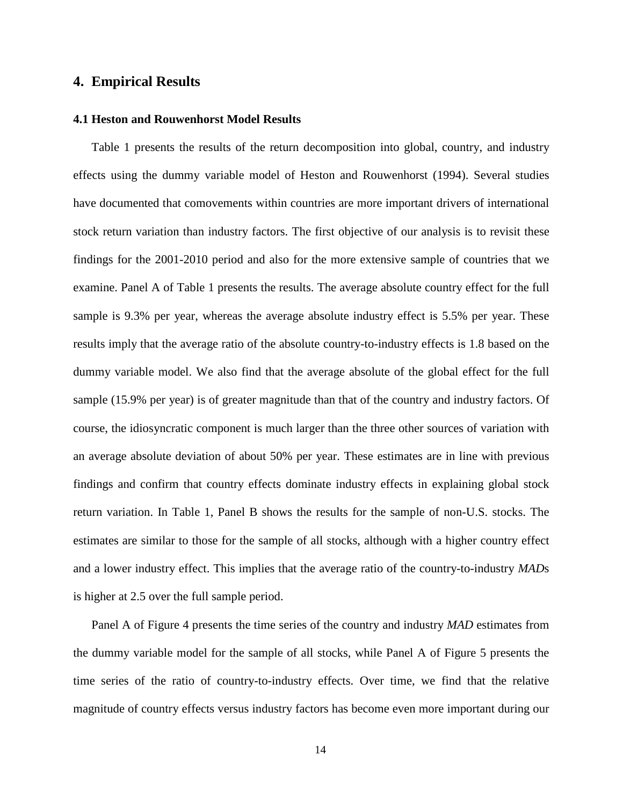# **4. Empirical Results**

#### **4.1 Heston and Rouwenhorst Model Results**

Table 1 presents the results of the return decomposition into global, country, and industry effects using the dummy variable model of Heston and Rouwenhorst (1994). Several studies have documented that comovements within countries are more important drivers of international stock return variation than industry factors. The first objective of our analysis is to revisit these findings for the 2001-2010 period and also for the more extensive sample of countries that we examine. Panel A of Table 1 presents the results. The average absolute country effect for the full sample is 9.3% per year, whereas the average absolute industry effect is 5.5% per year. These results imply that the average ratio of the absolute country-to-industry effects is 1.8 based on the dummy variable model. We also find that the average absolute of the global effect for the full sample (15.9% per year) is of greater magnitude than that of the country and industry factors. Of course, the idiosyncratic component is much larger than the three other sources of variation with an average absolute deviation of about 50% per year. These estimates are in line with previous findings and confirm that country effects dominate industry effects in explaining global stock return variation. In Table 1, Panel B shows the results for the sample of non-U.S. stocks. The estimates are similar to those for the sample of all stocks, although with a higher country effect and a lower industry effect. This implies that the average ratio of the country-to-industry *MAD*s is higher at 2.5 over the full sample period.

Panel A of Figure 4 presents the time series of the country and industry *MAD* estimates from the dummy variable model for the sample of all stocks, while Panel A of Figure 5 presents the time series of the ratio of country-to-industry effects. Over time, we find that the relative magnitude of country effects versus industry factors has become even more important during our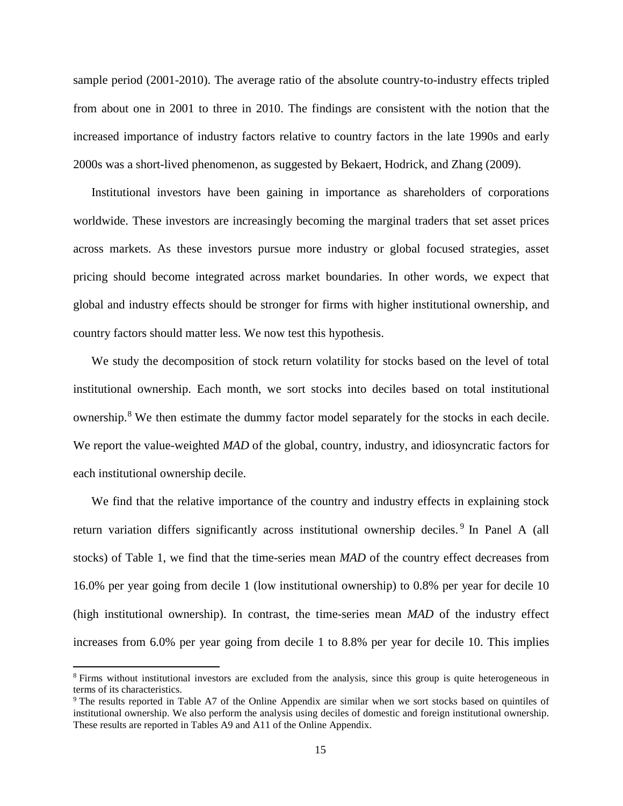sample period (2001-2010). The average ratio of the absolute country-to-industry effects tripled from about one in 2001 to three in 2010. The findings are consistent with the notion that the increased importance of industry factors relative to country factors in the late 1990s and early 2000s was a short-lived phenomenon, as suggested by Bekaert, Hodrick, and Zhang (2009).

Institutional investors have been gaining in importance as shareholders of corporations worldwide. These investors are increasingly becoming the marginal traders that set asset prices across markets. As these investors pursue more industry or global focused strategies, asset pricing should become integrated across market boundaries. In other words, we expect that global and industry effects should be stronger for firms with higher institutional ownership, and country factors should matter less. We now test this hypothesis.

We study the decomposition of stock return volatility for stocks based on the level of total institutional ownership. Each month, we sort stocks into deciles based on total institutional ownership.<sup>[8](#page-15-0)</sup> We then estimate the dummy factor model separately for the stocks in each decile. We report the value-weighted *MAD* of the global, country, industry, and idiosyncratic factors for each institutional ownership decile.

We find that the relative importance of the country and industry effects in explaining stock return variation differs significantly across institutional ownership deciles.<sup>[9](#page-15-1)</sup> In Panel A (all stocks) of Table 1, we find that the time-series mean *MAD* of the country effect decreases from 16.0% per year going from decile 1 (low institutional ownership) to 0.8% per year for decile 10 (high institutional ownership). In contrast, the time-series mean *MAD* of the industry effect increases from 6.0% per year going from decile 1 to 8.8% per year for decile 10. This implies

<span id="page-15-0"></span><sup>&</sup>lt;sup>8</sup> Firms without institutional investors are excluded from the analysis, since this group is quite heterogeneous in terms of its characteristics.

<span id="page-15-1"></span><sup>9</sup> The results reported in Table A7 of the Online Appendix are similar when we sort stocks based on quintiles of institutional ownership. We also perform the analysis using deciles of domestic and foreign institutional ownership. These results are reported in Tables A9 and A11 of the Online Appendix.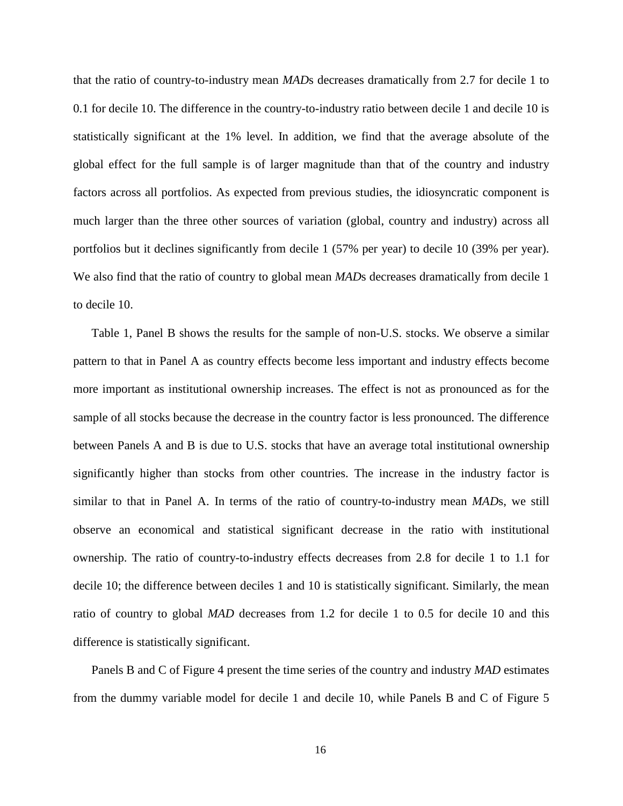that the ratio of country-to-industry mean *MAD*s decreases dramatically from 2.7 for decile 1 to 0.1 for decile 10. The difference in the country-to-industry ratio between decile 1 and decile 10 is statistically significant at the 1% level. In addition, we find that the average absolute of the global effect for the full sample is of larger magnitude than that of the country and industry factors across all portfolios. As expected from previous studies, the idiosyncratic component is much larger than the three other sources of variation (global, country and industry) across all portfolios but it declines significantly from decile 1 (57% per year) to decile 10 (39% per year). We also find that the ratio of country to global mean *MAD*s decreases dramatically from decile 1 to decile 10.

Table 1, Panel B shows the results for the sample of non-U.S. stocks. We observe a similar pattern to that in Panel A as country effects become less important and industry effects become more important as institutional ownership increases. The effect is not as pronounced as for the sample of all stocks because the decrease in the country factor is less pronounced. The difference between Panels A and B is due to U.S. stocks that have an average total institutional ownership significantly higher than stocks from other countries. The increase in the industry factor is similar to that in Panel A. In terms of the ratio of country-to-industry mean *MAD*s, we still observe an economical and statistical significant decrease in the ratio with institutional ownership. The ratio of country-to-industry effects decreases from 2.8 for decile 1 to 1.1 for decile 10; the difference between deciles 1 and 10 is statistically significant. Similarly, the mean ratio of country to global *MAD* decreases from 1.2 for decile 1 to 0.5 for decile 10 and this difference is statistically significant.

Panels B and C of Figure 4 present the time series of the country and industry *MAD* estimates from the dummy variable model for decile 1 and decile 10, while Panels B and C of Figure 5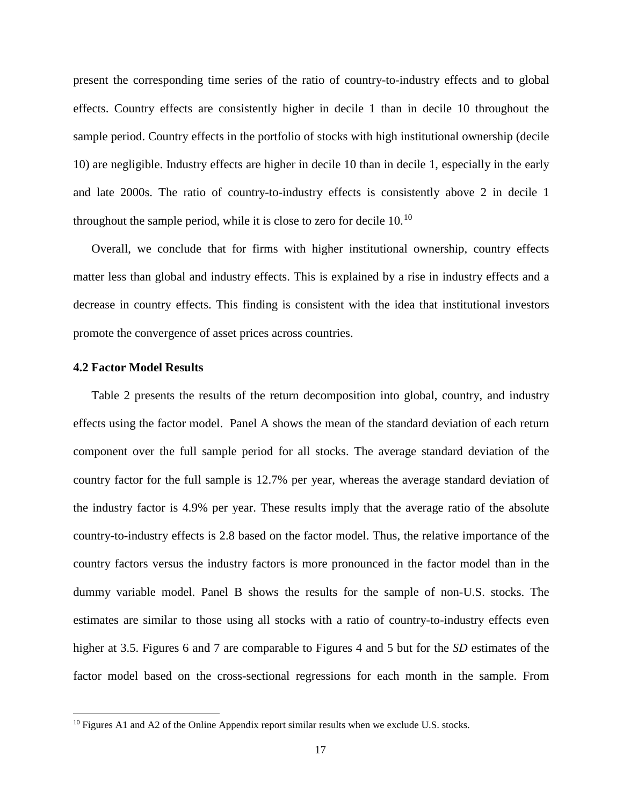present the corresponding time series of the ratio of country-to-industry effects and to global effects. Country effects are consistently higher in decile 1 than in decile 10 throughout the sample period. Country effects in the portfolio of stocks with high institutional ownership (decile 10) are negligible. Industry effects are higher in decile 10 than in decile 1, especially in the early and late 2000s. The ratio of country-to-industry effects is consistently above 2 in decile 1 throughout the sample period, while it is close to zero for decile  $10.^{10}$  $10.^{10}$ 

Overall, we conclude that for firms with higher institutional ownership, country effects matter less than global and industry effects. This is explained by a rise in industry effects and a decrease in country effects. This finding is consistent with the idea that institutional investors promote the convergence of asset prices across countries.

#### **4.2 Factor Model Results**

Table 2 presents the results of the return decomposition into global, country, and industry effects using the factor model. Panel A shows the mean of the standard deviation of each return component over the full sample period for all stocks. The average standard deviation of the country factor for the full sample is 12.7% per year, whereas the average standard deviation of the industry factor is 4.9% per year. These results imply that the average ratio of the absolute country-to-industry effects is 2.8 based on the factor model. Thus, the relative importance of the country factors versus the industry factors is more pronounced in the factor model than in the dummy variable model. Panel B shows the results for the sample of non-U.S. stocks. The estimates are similar to those using all stocks with a ratio of country-to-industry effects even higher at 3.5. Figures 6 and 7 are comparable to Figures 4 and 5 but for the *SD* estimates of the factor model based on the cross-sectional regressions for each month in the sample. From

<span id="page-17-0"></span> $10$  Figures A1 and A2 of the Online Appendix report similar results when we exclude U.S. stocks.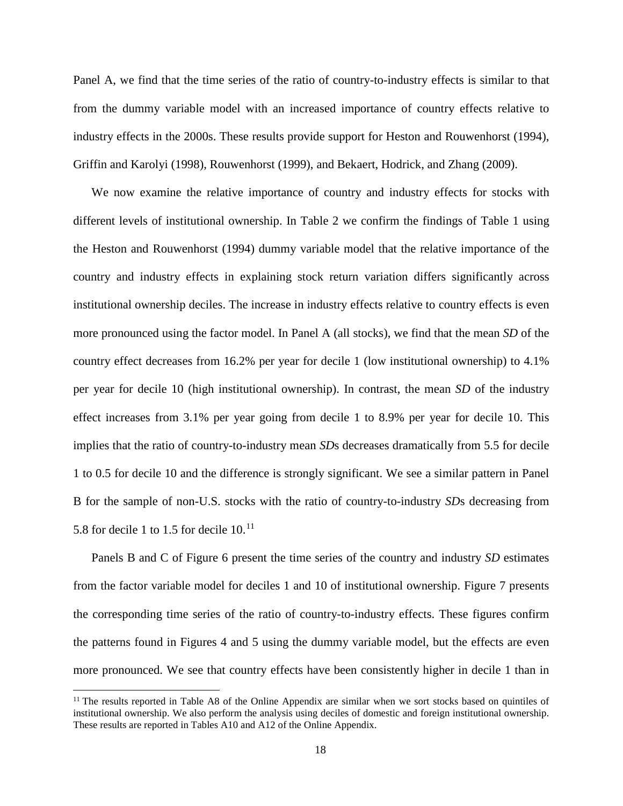Panel A, we find that the time series of the ratio of country-to-industry effects is similar to that from the dummy variable model with an increased importance of country effects relative to industry effects in the 2000s. These results provide support for Heston and Rouwenhorst (1994), Griffin and Karolyi (1998), Rouwenhorst (1999), and Bekaert, Hodrick, and Zhang (2009).

We now examine the relative importance of country and industry effects for stocks with different levels of institutional ownership. In Table 2 we confirm the findings of Table 1 using the Heston and Rouwenhorst (1994) dummy variable model that the relative importance of the country and industry effects in explaining stock return variation differs significantly across institutional ownership deciles. The increase in industry effects relative to country effects is even more pronounced using the factor model. In Panel A (all stocks), we find that the mean *SD* of the country effect decreases from 16.2% per year for decile 1 (low institutional ownership) to 4.1% per year for decile 10 (high institutional ownership). In contrast, the mean *SD* of the industry effect increases from 3.1% per year going from decile 1 to 8.9% per year for decile 10. This implies that the ratio of country-to-industry mean *SD*s decreases dramatically from 5.5 for decile 1 to 0.5 for decile 10 and the difference is strongly significant. We see a similar pattern in Panel B for the sample of non-U.S. stocks with the ratio of country-to-industry *SD*s decreasing from 5.8 for decile 1 to 1.5 for decile  $10^{11}$  $10^{11}$  $10^{11}$ 

Panels B and C of Figure 6 present the time series of the country and industry *SD* estimates from the factor variable model for deciles 1 and 10 of institutional ownership. Figure 7 presents the corresponding time series of the ratio of country-to-industry effects. These figures confirm the patterns found in Figures 4 and 5 using the dummy variable model, but the effects are even more pronounced. We see that country effects have been consistently higher in decile 1 than in

<span id="page-18-0"></span> $11$  The results reported in Table A8 of the Online Appendix are similar when we sort stocks based on quintiles of institutional ownership. We also perform the analysis using deciles of domestic and foreign institutional ownership. These results are reported in Tables A10 and A12 of the Online Appendix.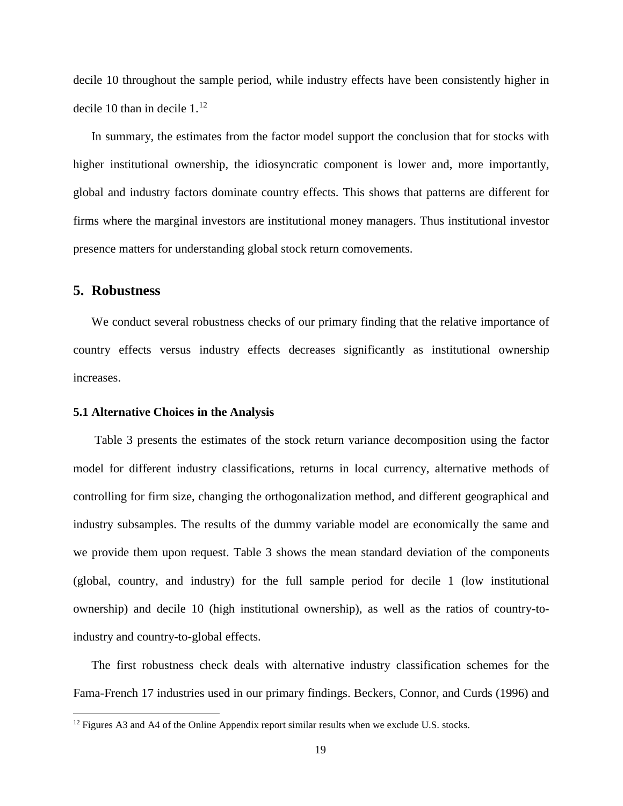decile 10 throughout the sample period, while industry effects have been consistently higher in decile 10 than in decile 1.[12](#page-19-0)

In summary, the estimates from the factor model support the conclusion that for stocks with higher institutional ownership, the idiosyncratic component is lower and, more importantly, global and industry factors dominate country effects. This shows that patterns are different for firms where the marginal investors are institutional money managers. Thus institutional investor presence matters for understanding global stock return comovements.

## **5. Robustness**

We conduct several robustness checks of our primary finding that the relative importance of country effects versus industry effects decreases significantly as institutional ownership increases.

## **5.1 Alternative Choices in the Analysis**

Table 3 presents the estimates of the stock return variance decomposition using the factor model for different industry classifications, returns in local currency, alternative methods of controlling for firm size, changing the orthogonalization method, and different geographical and industry subsamples. The results of the dummy variable model are economically the same and we provide them upon request. Table 3 shows the mean standard deviation of the components (global, country, and industry) for the full sample period for decile 1 (low institutional ownership) and decile 10 (high institutional ownership), as well as the ratios of country-toindustry and country-to-global effects.

The first robustness check deals with alternative industry classification schemes for the Fama-French 17 industries used in our primary findings. Beckers, Connor, and Curds (1996) and

<span id="page-19-0"></span> $12$  Figures A3 and A4 of the Online Appendix report similar results when we exclude U.S. stocks.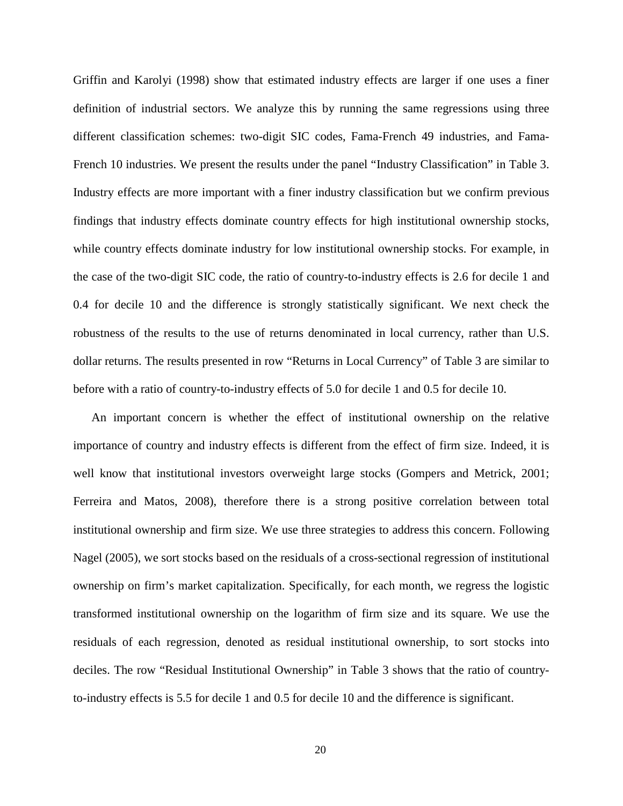Griffin and Karolyi (1998) show that estimated industry effects are larger if one uses a finer definition of industrial sectors. We analyze this by running the same regressions using three different classification schemes: two-digit SIC codes, Fama-French 49 industries, and Fama-French 10 industries. We present the results under the panel "Industry Classification" in Table 3. Industry effects are more important with a finer industry classification but we confirm previous findings that industry effects dominate country effects for high institutional ownership stocks, while country effects dominate industry for low institutional ownership stocks. For example, in the case of the two-digit SIC code, the ratio of country-to-industry effects is 2.6 for decile 1 and 0.4 for decile 10 and the difference is strongly statistically significant. We next check the robustness of the results to the use of returns denominated in local currency, rather than U.S. dollar returns. The results presented in row "Returns in Local Currency" of Table 3 are similar to before with a ratio of country-to-industry effects of 5.0 for decile 1 and 0.5 for decile 10.

An important concern is whether the effect of institutional ownership on the relative importance of country and industry effects is different from the effect of firm size. Indeed, it is well know that institutional investors overweight large stocks (Gompers and Metrick, 2001; Ferreira and Matos, 2008), therefore there is a strong positive correlation between total institutional ownership and firm size. We use three strategies to address this concern. Following Nagel (2005), we sort stocks based on the residuals of a cross-sectional regression of institutional ownership on firm's market capitalization. Specifically, for each month, we regress the logistic transformed institutional ownership on the logarithm of firm size and its square. We use the residuals of each regression, denoted as residual institutional ownership, to sort stocks into deciles. The row "Residual Institutional Ownership" in Table 3 shows that the ratio of countryto-industry effects is 5.5 for decile 1 and 0.5 for decile 10 and the difference is significant.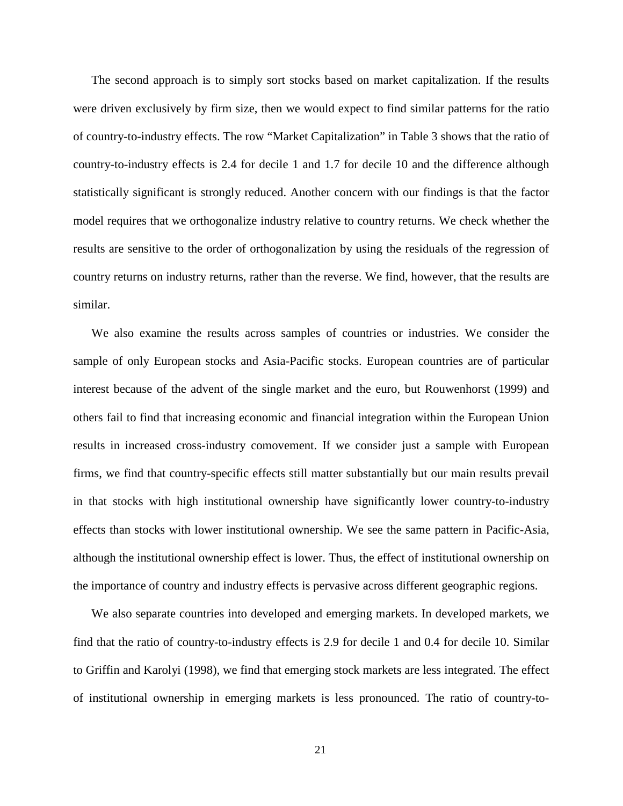The second approach is to simply sort stocks based on market capitalization. If the results were driven exclusively by firm size, then we would expect to find similar patterns for the ratio of country-to-industry effects. The row "Market Capitalization" in Table 3 shows that the ratio of country-to-industry effects is 2.4 for decile 1 and 1.7 for decile 10 and the difference although statistically significant is strongly reduced. Another concern with our findings is that the factor model requires that we orthogonalize industry relative to country returns. We check whether the results are sensitive to the order of orthogonalization by using the residuals of the regression of country returns on industry returns, rather than the reverse. We find, however, that the results are similar.

We also examine the results across samples of countries or industries. We consider the sample of only European stocks and Asia-Pacific stocks. European countries are of particular interest because of the advent of the single market and the euro, but Rouwenhorst (1999) and others fail to find that increasing economic and financial integration within the European Union results in increased cross-industry comovement. If we consider just a sample with European firms, we find that country-specific effects still matter substantially but our main results prevail in that stocks with high institutional ownership have significantly lower country-to-industry effects than stocks with lower institutional ownership. We see the same pattern in Pacific-Asia, although the institutional ownership effect is lower. Thus, the effect of institutional ownership on the importance of country and industry effects is pervasive across different geographic regions.

We also separate countries into developed and emerging markets. In developed markets, we find that the ratio of country-to-industry effects is 2.9 for decile 1 and 0.4 for decile 10. Similar to Griffin and Karolyi (1998), we find that emerging stock markets are less integrated. The effect of institutional ownership in emerging markets is less pronounced. The ratio of country-to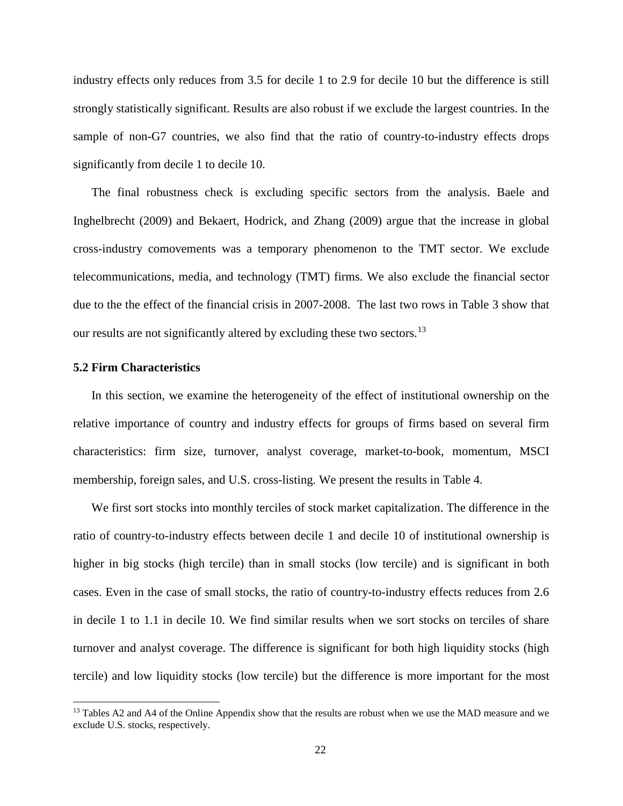industry effects only reduces from 3.5 for decile 1 to 2.9 for decile 10 but the difference is still strongly statistically significant. Results are also robust if we exclude the largest countries. In the sample of non-G7 countries, we also find that the ratio of country-to-industry effects drops significantly from decile 1 to decile 10.

The final robustness check is excluding specific sectors from the analysis. Baele and Inghelbrecht (2009) and Bekaert, Hodrick, and Zhang (2009) argue that the increase in global cross-industry comovements was a temporary phenomenon to the TMT sector. We exclude telecommunications, media, and technology (TMT) firms. We also exclude the financial sector due to the the effect of the financial crisis in 2007-2008. The last two rows in Table 3 show that our results are not significantly altered by excluding these two sectors.<sup>[13](#page-22-0)</sup>

#### **5.2 Firm Characteristics**

In this section, we examine the heterogeneity of the effect of institutional ownership on the relative importance of country and industry effects for groups of firms based on several firm characteristics: firm size, turnover, analyst coverage, market-to-book, momentum, MSCI membership, foreign sales, and U.S. cross-listing. We present the results in Table 4.

We first sort stocks into monthly terciles of stock market capitalization. The difference in the ratio of country-to-industry effects between decile 1 and decile 10 of institutional ownership is higher in big stocks (high tercile) than in small stocks (low tercile) and is significant in both cases. Even in the case of small stocks, the ratio of country-to-industry effects reduces from 2.6 in decile 1 to 1.1 in decile 10. We find similar results when we sort stocks on terciles of share turnover and analyst coverage. The difference is significant for both high liquidity stocks (high tercile) and low liquidity stocks (low tercile) but the difference is more important for the most

<span id="page-22-0"></span><sup>&</sup>lt;sup>13</sup> Tables A2 and A4 of the Online Appendix show that the results are robust when we use the MAD measure and we exclude U.S. stocks, respectively.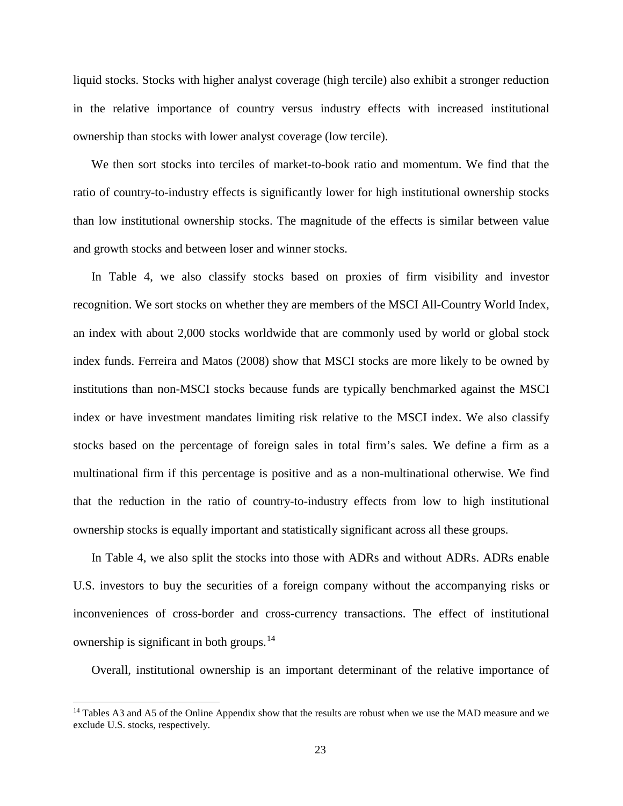liquid stocks. Stocks with higher analyst coverage (high tercile) also exhibit a stronger reduction in the relative importance of country versus industry effects with increased institutional ownership than stocks with lower analyst coverage (low tercile).

We then sort stocks into terciles of market-to-book ratio and momentum. We find that the ratio of country-to-industry effects is significantly lower for high institutional ownership stocks than low institutional ownership stocks. The magnitude of the effects is similar between value and growth stocks and between loser and winner stocks.

In Table 4, we also classify stocks based on proxies of firm visibility and investor recognition. We sort stocks on whether they are members of the MSCI All-Country World Index, an index with about 2,000 stocks worldwide that are commonly used by world or global stock index funds. Ferreira and Matos (2008) show that MSCI stocks are more likely to be owned by institutions than non-MSCI stocks because funds are typically benchmarked against the MSCI index or have investment mandates limiting risk relative to the MSCI index. We also classify stocks based on the percentage of foreign sales in total firm's sales. We define a firm as a multinational firm if this percentage is positive and as a non-multinational otherwise. We find that the reduction in the ratio of country-to-industry effects from low to high institutional ownership stocks is equally important and statistically significant across all these groups.

In Table 4, we also split the stocks into those with ADRs and without ADRs. ADRs enable U.S. investors to buy the securities of a foreign company without the accompanying risks or inconveniences of cross-border and cross-currency transactions. The effect of institutional ownership is significant in both groups.<sup>[14](#page-23-0)</sup>

Overall, institutional ownership is an important determinant of the relative importance of

<span id="page-23-0"></span><sup>&</sup>lt;sup>14</sup> Tables A3 and A5 of the Online Appendix show that the results are robust when we use the MAD measure and we exclude U.S. stocks, respectively.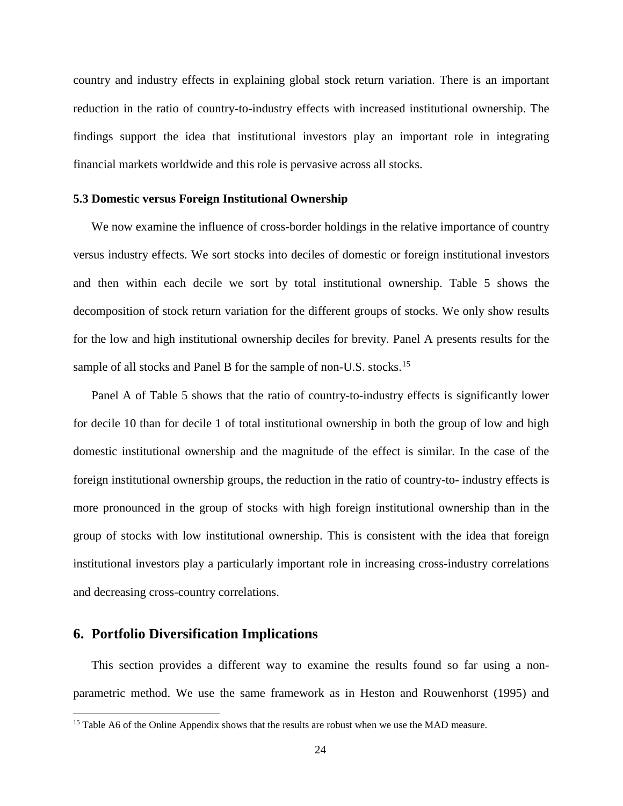country and industry effects in explaining global stock return variation. There is an important reduction in the ratio of country-to-industry effects with increased institutional ownership. The findings support the idea that institutional investors play an important role in integrating financial markets worldwide and this role is pervasive across all stocks.

#### **5.3 Domestic versus Foreign Institutional Ownership**

We now examine the influence of cross-border holdings in the relative importance of country versus industry effects. We sort stocks into deciles of domestic or foreign institutional investors and then within each decile we sort by total institutional ownership. Table 5 shows the decomposition of stock return variation for the different groups of stocks. We only show results for the low and high institutional ownership deciles for brevity. Panel A presents results for the sample of all stocks and Panel B for the sample of non-U.S. stocks.<sup>[15](#page-24-0)</sup>

Panel A of Table 5 shows that the ratio of country-to-industry effects is significantly lower for decile 10 than for decile 1 of total institutional ownership in both the group of low and high domestic institutional ownership and the magnitude of the effect is similar. In the case of the foreign institutional ownership groups, the reduction in the ratio of country-to- industry effects is more pronounced in the group of stocks with high foreign institutional ownership than in the group of stocks with low institutional ownership. This is consistent with the idea that foreign institutional investors play a particularly important role in increasing cross-industry correlations and decreasing cross-country correlations.

# **6. Portfolio Diversification Implications**

This section provides a different way to examine the results found so far using a nonparametric method. We use the same framework as in Heston and Rouwenhorst (1995) and

<span id="page-24-0"></span><sup>&</sup>lt;sup>15</sup> Table A6 of the Online Appendix shows that the results are robust when we use the MAD measure.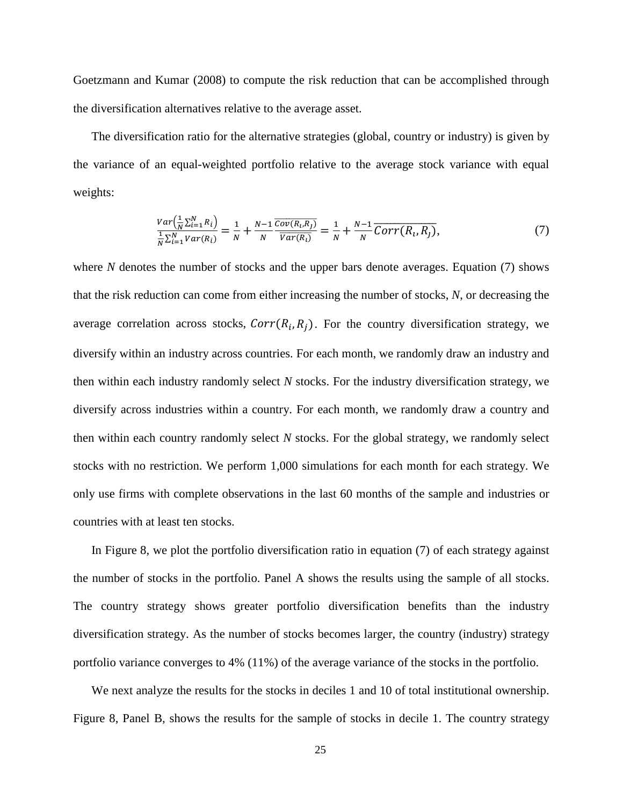Goetzmann and Kumar (2008) to compute the risk reduction that can be accomplished through the diversification alternatives relative to the average asset.

The diversification ratio for the alternative strategies (global, country or industry) is given by the variance of an equal-weighted portfolio relative to the average stock variance with equal weights:

$$
\frac{Var\left(\frac{1}{N}\sum_{i=1}^{N}R_i\right)}{\frac{1}{N}\sum_{i=1}^{N}Var(R_i)} = \frac{1}{N} + \frac{N-1}{N}\frac{\overline{Cov(R_i, R_j)}}{\overline{Var(R_i)}} = \frac{1}{N} + \frac{N-1}{N}\overline{Corr(R_i, R_j)},\tag{7}
$$

where *N* denotes the number of stocks and the upper bars denote averages. Equation (7) shows that the risk reduction can come from either increasing the number of stocks, *N*, or decreasing the average correlation across stocks,  $Corr(R_i, R_i)$ . For the country diversification strategy, we diversify within an industry across countries. For each month, we randomly draw an industry and then within each industry randomly select *N* stocks. For the industry diversification strategy, we diversify across industries within a country. For each month, we randomly draw a country and then within each country randomly select *N* stocks. For the global strategy, we randomly select stocks with no restriction. We perform 1,000 simulations for each month for each strategy. We only use firms with complete observations in the last 60 months of the sample and industries or countries with at least ten stocks.

In Figure 8, we plot the portfolio diversification ratio in equation (7) of each strategy against the number of stocks in the portfolio. Panel A shows the results using the sample of all stocks. The country strategy shows greater portfolio diversification benefits than the industry diversification strategy. As the number of stocks becomes larger, the country (industry) strategy portfolio variance converges to 4% (11%) of the average variance of the stocks in the portfolio.

We next analyze the results for the stocks in deciles 1 and 10 of total institutional ownership. Figure 8, Panel B, shows the results for the sample of stocks in decile 1. The country strategy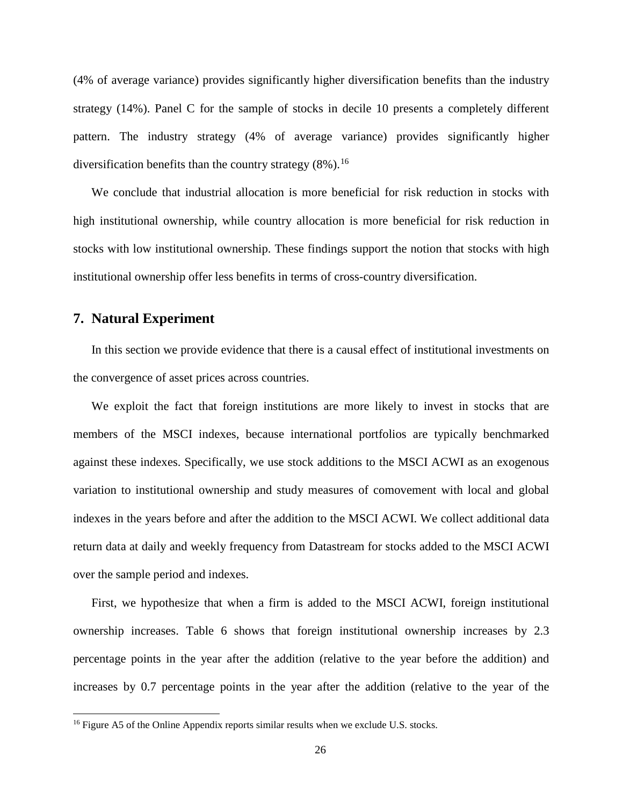(4% of average variance) provides significantly higher diversification benefits than the industry strategy (14%). Panel C for the sample of stocks in decile 10 presents a completely different pattern. The industry strategy (4% of average variance) provides significantly higher diversification benefits than the country strategy  $(8\%)$ .<sup>[16](#page-26-0)</sup>

We conclude that industrial allocation is more beneficial for risk reduction in stocks with high institutional ownership, while country allocation is more beneficial for risk reduction in stocks with low institutional ownership. These findings support the notion that stocks with high institutional ownership offer less benefits in terms of cross-country diversification.

# **7. Natural Experiment**

In this section we provide evidence that there is a causal effect of institutional investments on the convergence of asset prices across countries.

We exploit the fact that foreign institutions are more likely to invest in stocks that are members of the MSCI indexes, because international portfolios are typically benchmarked against these indexes. Specifically, we use stock additions to the MSCI ACWI as an exogenous variation to institutional ownership and study measures of comovement with local and global indexes in the years before and after the addition to the MSCI ACWI. We collect additional data return data at daily and weekly frequency from Datastream for stocks added to the MSCI ACWI over the sample period and indexes.

First, we hypothesize that when a firm is added to the MSCI ACWI, foreign institutional ownership increases. Table 6 shows that foreign institutional ownership increases by 2.3 percentage points in the year after the addition (relative to the year before the addition) and increases by 0.7 percentage points in the year after the addition (relative to the year of the

<span id="page-26-0"></span><sup>&</sup>lt;sup>16</sup> Figure A5 of the Online Appendix reports similar results when we exclude U.S. stocks.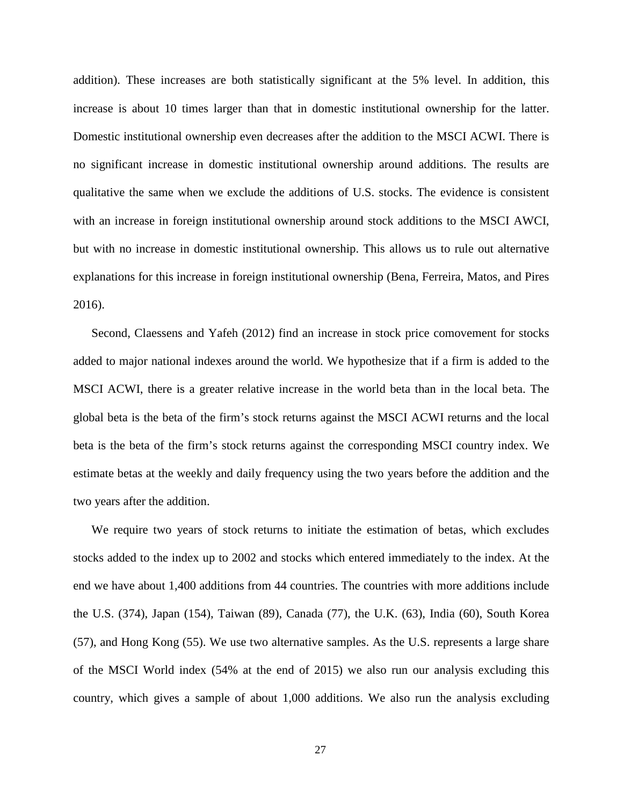addition). These increases are both statistically significant at the 5% level. In addition, this increase is about 10 times larger than that in domestic institutional ownership for the latter. Domestic institutional ownership even decreases after the addition to the MSCI ACWI. There is no significant increase in domestic institutional ownership around additions. The results are qualitative the same when we exclude the additions of U.S. stocks. The evidence is consistent with an increase in foreign institutional ownership around stock additions to the MSCI AWCI, but with no increase in domestic institutional ownership. This allows us to rule out alternative explanations for this increase in foreign institutional ownership (Bena, Ferreira, Matos, and Pires 2016).

Second, Claessens and Yafeh (2012) find an increase in stock price comovement for stocks added to major national indexes around the world. We hypothesize that if a firm is added to the MSCI ACWI, there is a greater relative increase in the world beta than in the local beta. The global beta is the beta of the firm's stock returns against the MSCI ACWI returns and the local beta is the beta of the firm's stock returns against the corresponding MSCI country index. We estimate betas at the weekly and daily frequency using the two years before the addition and the two years after the addition.

We require two years of stock returns to initiate the estimation of betas, which excludes stocks added to the index up to 2002 and stocks which entered immediately to the index. At the end we have about 1,400 additions from 44 countries. The countries with more additions include the U.S. (374), Japan (154), Taiwan (89), Canada (77), the U.K. (63), India (60), South Korea (57), and Hong Kong (55). We use two alternative samples. As the U.S. represents a large share of the MSCI World index (54% at the end of 2015) we also run our analysis excluding this country, which gives a sample of about 1,000 additions. We also run the analysis excluding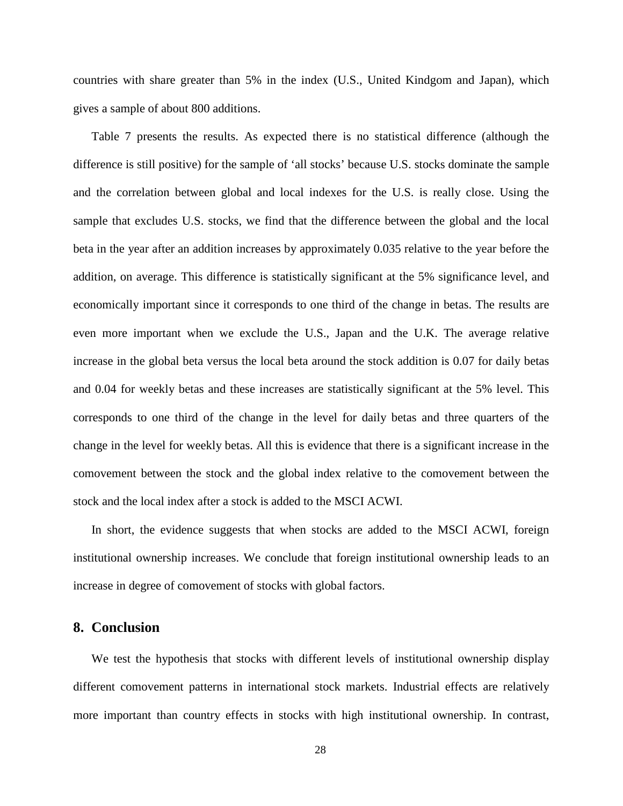countries with share greater than 5% in the index (U.S., United Kindgom and Japan), which gives a sample of about 800 additions.

Table 7 presents the results. As expected there is no statistical difference (although the difference is still positive) for the sample of 'all stocks' because U.S. stocks dominate the sample and the correlation between global and local indexes for the U.S. is really close. Using the sample that excludes U.S. stocks, we find that the difference between the global and the local beta in the year after an addition increases by approximately 0.035 relative to the year before the addition, on average. This difference is statistically significant at the 5% significance level, and economically important since it corresponds to one third of the change in betas. The results are even more important when we exclude the U.S., Japan and the U.K. The average relative increase in the global beta versus the local beta around the stock addition is 0.07 for daily betas and 0.04 for weekly betas and these increases are statistically significant at the 5% level. This corresponds to one third of the change in the level for daily betas and three quarters of the change in the level for weekly betas. All this is evidence that there is a significant increase in the comovement between the stock and the global index relative to the comovement between the stock and the local index after a stock is added to the MSCI ACWI.

In short, the evidence suggests that when stocks are added to the MSCI ACWI, foreign institutional ownership increases. We conclude that foreign institutional ownership leads to an increase in degree of comovement of stocks with global factors.

# **8. Conclusion**

We test the hypothesis that stocks with different levels of institutional ownership display different comovement patterns in international stock markets. Industrial effects are relatively more important than country effects in stocks with high institutional ownership. In contrast,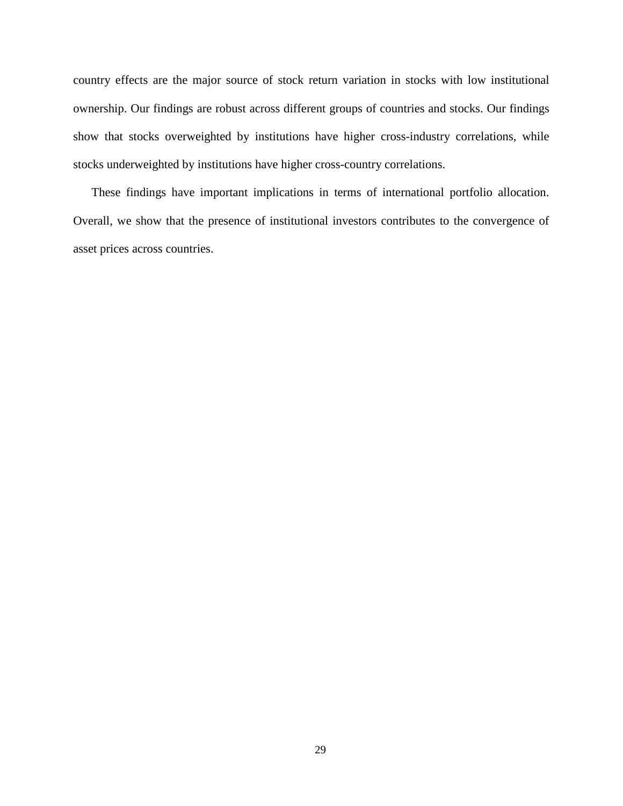country effects are the major source of stock return variation in stocks with low institutional ownership. Our findings are robust across different groups of countries and stocks. Our findings show that stocks overweighted by institutions have higher cross-industry correlations, while stocks underweighted by institutions have higher cross-country correlations.

These findings have important implications in terms of international portfolio allocation. Overall, we show that the presence of institutional investors contributes to the convergence of asset prices across countries.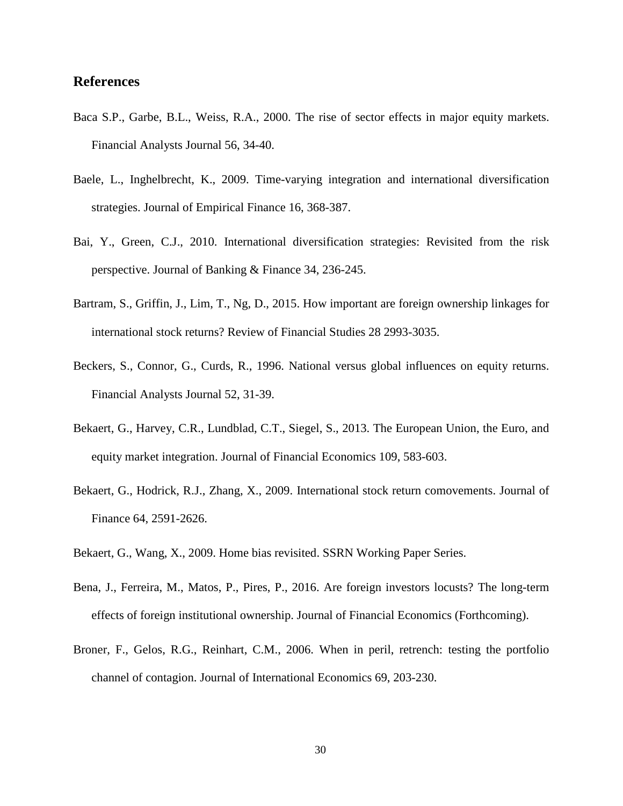# **References**

- Baca S.P., Garbe, B.L., Weiss, R.A., 2000. The rise of sector effects in major equity markets. Financial Analysts Journal 56, 34-40.
- Baele, L., Inghelbrecht, K., 2009. Time-varying integration and international diversification strategies. Journal of Empirical Finance 16, 368-387.
- Bai, Y., Green, C.J., 2010. International diversification strategies: Revisited from the risk perspective. Journal of Banking & Finance 34, 236-245.
- Bartram, S., Griffin, J., Lim, T., Ng, D., 2015. How important are foreign ownership linkages for international stock returns? Review of Financial Studies 28 2993-3035.
- Beckers, S., Connor, G., Curds, R., 1996. National versus global influences on equity returns. Financial Analysts Journal 52, 31-39.
- Bekaert, G., Harvey, C.R., Lundblad, C.T., Siegel, S., 2013. The European Union, the Euro, and equity market integration. Journal of Financial Economics 109, 583-603.
- Bekaert, G., Hodrick, R.J., Zhang, X., 2009. International stock return comovements. Journal of Finance 64, 2591-2626.
- Bekaert, G., Wang, X., 2009. Home bias revisited. SSRN Working Paper Series.
- Bena, J., Ferreira, M., Matos, P., Pires, P., 2016. Are foreign investors locusts? The long-term effects of foreign institutional ownership. Journal of Financial Economics (Forthcoming).
- Broner, F., Gelos, R.G., Reinhart, C.M., 2006. When in peril, retrench: testing the portfolio channel of contagion. Journal of International Economics 69, 203-230.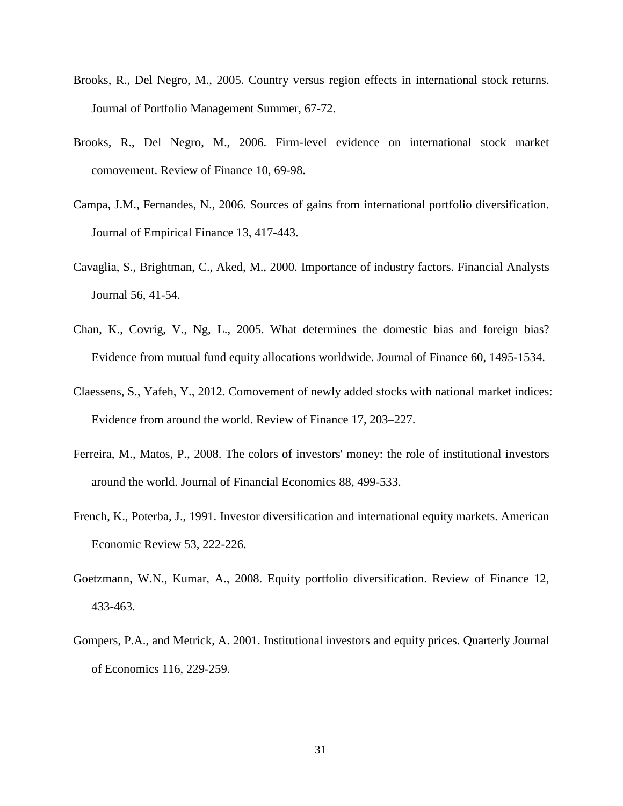- Brooks, R., Del Negro, M., 2005. Country versus region effects in international stock returns. Journal of Portfolio Management Summer, 67-72.
- Brooks, R., Del Negro, M., 2006. Firm-level evidence on international stock market comovement. Review of Finance 10, 69-98.
- Campa, J.M., Fernandes, N., 2006. Sources of gains from international portfolio diversification. Journal of Empirical Finance 13, 417-443.
- Cavaglia, S., Brightman, C., Aked, M., 2000. Importance of industry factors. Financial Analysts Journal 56, 41-54.
- Chan, K., Covrig, V., Ng, L., 2005. What determines the domestic bias and foreign bias? Evidence from mutual fund equity allocations worldwide. Journal of Finance 60, 1495-1534.
- Claessens, S., Yafeh, Y., 2012. Comovement of newly added stocks with national market indices: Evidence from around the world. Review of Finance 17, 203–227.
- Ferreira, M., Matos, P., 2008. The colors of investors' money: the role of institutional investors around the world. Journal of Financial Economics 88, 499-533.
- French, K., Poterba, J., 1991. Investor diversification and international equity markets. American Economic Review 53, 222-226.
- Goetzmann, W.N., Kumar, A., 2008. Equity portfolio diversification. Review of Finance 12, 433-463.
- Gompers, P.A., and Metrick, A. 2001. Institutional investors and equity prices. Quarterly Journal of Economics 116, 229-259.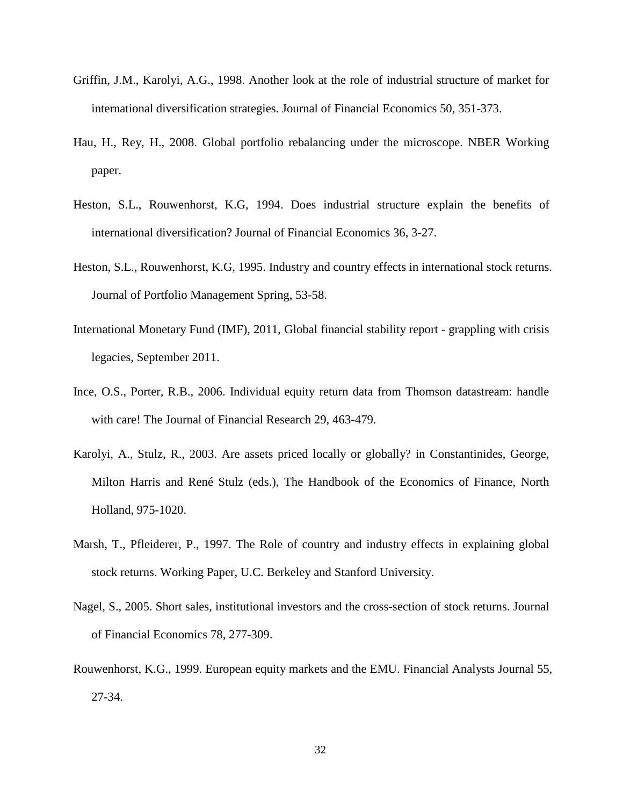- Griffin, J.M., Karolyi, A.G., 1998. Another look at the role of industrial structure of market for international diversification strategies. Journal of Financial Economics 50, 351-373.
- Hau, H., Rey, H., 2008. Global portfolio rebalancing under the microscope. NBER Working paper.
- Heston, S.L., Rouwenhorst, K.G, 1994. Does industrial structure explain the benefits of international diversification? Journal of Financial Economics 36, 3-27.
- Heston, S.L., Rouwenhorst, K.G, 1995. Industry and country effects in international stock returns. Journal of Portfolio Management Spring, 53-58.
- International Monetary Fund (IMF), 2011, Global financial stability report grappling with crisis legacies, September 2011.
- Ince, O.S., Porter, R.B., 2006. Individual equity return data from Thomson datastream: handle with care! The Journal of Financial Research 29, 463-479.
- Karolyi, A., Stulz, R., 2003. Are assets priced locally or globally? in Constantinides, George, Milton Harris and René Stulz (eds.), The Handbook of the Economics of Finance, North Holland, 975-1020.
- Marsh, T., Pfleiderer, P., 1997. The Role of country and industry effects in explaining global stock returns. Working Paper, U.C. Berkeley and Stanford University.
- Nagel, S., 2005. Short sales, institutional investors and the cross-section of stock returns. Journal of Financial Economics 78, 277-309.
- Rouwenhorst, K.G., 1999. European equity markets and the EMU. Financial Analysts Journal 55, 27-34.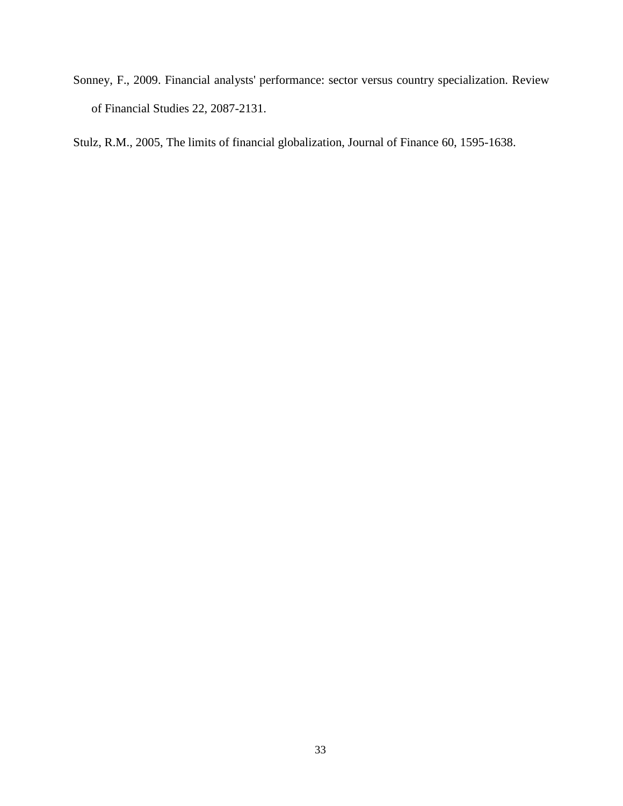Sonney, F., 2009. Financial analysts' performance: sector versus country specialization. Review of Financial Studies 22, 2087-2131.

Stulz, R.M., 2005, The limits of financial globalization, Journal of Finance 60, 1595-1638.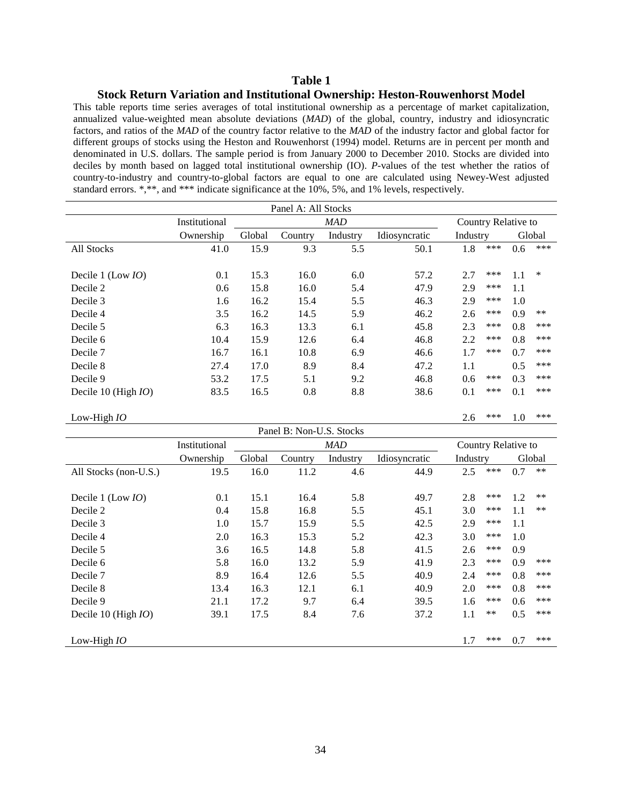#### **Table 1**

#### **Stock Return Variation and Institutional Ownership: Heston-Rouwenhorst Model**

This table reports time series averages of total institutional ownership as a percentage of market capitalization, annualized value-weighted mean absolute deviations (*MAD*) of the global, country, industry and idiosyncratic factors, and ratios of the *MAD* of the country factor relative to the *MAD* of the industry factor and global factor for different groups of stocks using the Heston and Rouwenhorst (1994) model. Returns are in percent per month and denominated in U.S. dollars. The sample period is from January 2000 to December 2010. Stocks are divided into deciles by month based on lagged total institutional ownership (IO). *P*-values of the test whether the ratios of country-to-industry and country-to-global factors are equal to one are calculated using Newey-West adjusted standard errors. \*,\*\*, and \*\*\* indicate significance at the 10%, 5%, and 1% levels, respectively.

| Panel A: All Stocks         |               |                               |      |               |          |     |                     |        |       |  |  |  |
|-----------------------------|---------------|-------------------------------|------|---------------|----------|-----|---------------------|--------|-------|--|--|--|
|                             | Institutional |                               |      | MAD           |          |     | Country Relative to |        |       |  |  |  |
|                             | Ownership     | Industry<br>Global<br>Country |      | Idiosyncratic | Industry |     |                     | Global |       |  |  |  |
| <b>All Stocks</b>           | 41.0          | 15.9                          | 9.3  | 5.5           | 50.1     | 1.8 | ***                 | 0.6    | ***   |  |  |  |
|                             |               |                               |      |               |          |     |                     |        |       |  |  |  |
| Decile 1 (Low IO)           | 0.1           | 15.3                          | 16.0 | 6.0           | 57.2     | 2.7 | ***                 | 1.1    | ∗     |  |  |  |
| Decile 2                    | 0.6           | 15.8                          | 16.0 | 5.4           | 47.9     | 2.9 | ***                 | 1.1    |       |  |  |  |
| Decile 3                    | 1.6           | 16.2                          | 15.4 | 5.5           | 46.3     | 2.9 | ***                 | 1.0    |       |  |  |  |
| Decile 4                    | 3.5           | 16.2                          | 14.5 | 5.9           | 46.2     | 2.6 | ***                 | 0.9    | $***$ |  |  |  |
| Decile 5                    | 6.3           | 16.3                          | 13.3 | 6.1           | 45.8     | 2.3 | ***                 | 0.8    | ***   |  |  |  |
| Decile 6                    | 10.4          | 15.9                          | 12.6 | 6.4           | 46.8     | 2.2 | ***                 | 0.8    | ***   |  |  |  |
| Decile 7                    | 16.7          | 16.1                          | 10.8 | 6.9           | 46.6     | 1.7 | ***                 | 0.7    | ***   |  |  |  |
| Decile 8                    | 27.4          | 17.0                          | 8.9  | 8.4           | 47.2     | 1.1 |                     | 0.5    | ***   |  |  |  |
| Decile 9                    | 53.2          | 17.5                          | 5.1  | 9.2           | 46.8     | 0.6 | ***                 | 0.3    | ***   |  |  |  |
| Decile 10 (High <i>IO</i> ) | 83.5          | 16.5                          | 0.8  | 8.8           | 38.6     | 0.1 | ***                 | 0.1    | ***   |  |  |  |
| Low-High $IO$               |               |                               |      |               |          | 2.6 | ***                 | 1.0    | ***   |  |  |  |

|                             |               |        | Panel B: Non-U.S. Stocks |          |               |                     |       |     |        |
|-----------------------------|---------------|--------|--------------------------|----------|---------------|---------------------|-------|-----|--------|
|                             | Institutional |        |                          | MAD      |               | Country Relative to |       |     |        |
|                             | Ownership     | Global | Country                  | Industry | Idiosyncratic | Industry            |       |     | Global |
| All Stocks (non-U.S.)       | 19.5          | 16.0   | 11.2                     | 4.6      | 44.9          | 2.5                 | ***   | 0.7 | $***$  |
|                             |               |        |                          |          |               |                     |       |     |        |
| Decile 1 (Low $IO$ )        | 0.1           | 15.1   | 16.4                     | 5.8      | 49.7          | 2.8                 | ***   | 1.2 | $***$  |
| Decile 2                    | 0.4           | 15.8   | 16.8                     | 5.5      | 45.1          | 3.0                 | ***   | 1.1 | $***$  |
| Decile 3                    | 1.0           | 15.7   | 15.9                     | 5.5      | 42.5          | 2.9                 | ***   | 1.1 |        |
| Decile 4                    | 2.0           | 16.3   | 15.3                     | 5.2      | 42.3          | 3.0                 | ***   | 1.0 |        |
| Decile 5                    | 3.6           | 16.5   | 14.8                     | 5.8      | 41.5          | 2.6                 | ***   | 0.9 |        |
| Decile 6                    | 5.8           | 16.0   | 13.2                     | 5.9      | 41.9          | 2.3                 | ***   | 0.9 | ***    |
| Decile 7                    | 8.9           | 16.4   | 12.6                     | 5.5      | 40.9          | 2.4                 | ***   | 0.8 | ***    |
| Decile 8                    | 13.4          | 16.3   | 12.1                     | 6.1      | 40.9          | 2.0                 | ***   | 0.8 | ***    |
| Decile 9                    | 21.1          | 17.2   | 9.7                      | 6.4      | 39.5          | 1.6                 | ***   | 0.6 | ***    |
| Decile 10 (High <i>IO</i> ) | 39.1          | 17.5   | 8.4                      | 7.6      | 37.2          | 1.1                 | $***$ | 0.5 | ***    |
|                             |               |        |                          |          |               |                     |       |     |        |
| Low-High $IO$               |               |        |                          |          |               | 1.7                 | ***   | 0.7 | ***    |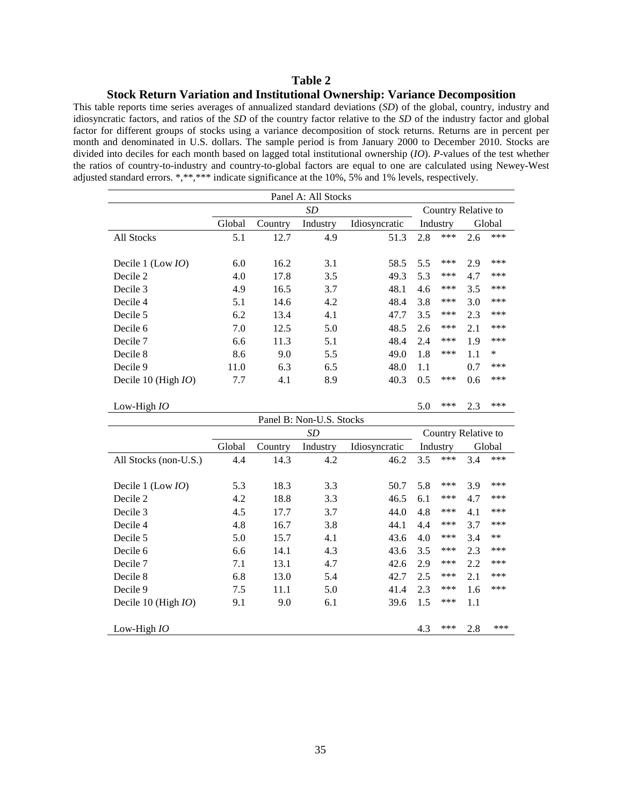# **Table 2**

#### **Stock Return Variation and Institutional Ownership: Variance Decomposition**

This table reports time series averages of annualized standard deviations (*SD*) of the global, country, industry and idiosyncratic factors, and ratios of the *SD* of the country factor relative to the *SD* of the industry factor and global factor for different groups of stocks using a variance decomposition of stock returns. Returns are in percent per month and denominated in U.S. dollars. The sample period is from January 2000 to December 2010. Stocks are divided into deciles for each month based on lagged total institutional ownership (*IO*). *P*-values of the test whether the ratios of country-to-industry and country-to-global factors are equal to one are calculated using Newey-West adjusted standard errors. \*,\*\*,\*\*\* indicate significance at the 10%, 5% and 1% levels, respectively.

| Panel A: All Stocks    |        |         |          |               |                     |          |     |        |  |  |  |
|------------------------|--------|---------|----------|---------------|---------------------|----------|-----|--------|--|--|--|
|                        |        |         |          |               | Country Relative to |          |     |        |  |  |  |
|                        | Global | Country | Industry | Idiosyncratic |                     | Industry |     | Global |  |  |  |
| All Stocks             | 5.1    | 12.7    | 4.9      | 51.3          | 2.8                 | ***      | 2.6 | ***    |  |  |  |
|                        |        |         |          |               |                     |          |     |        |  |  |  |
| Decile 1 (Low $IO$ )   | 6.0    | 16.2    | 3.1      | 58.5          | 5.5                 | ***      | 2.9 | ***    |  |  |  |
| Decile 2               | 4.0    | 17.8    | 3.5      | 49.3          | 5.3                 | ***      | 4.7 | ***    |  |  |  |
| Decile 3               | 4.9    | 16.5    | 3.7      | 48.1          | 4.6                 | ***      | 3.5 | ***    |  |  |  |
| Decile 4               | 5.1    | 14.6    | 4.2      | 48.4          | 3.8                 | ***      | 3.0 | ***    |  |  |  |
| Decile 5               | 6.2    | 13.4    | 4.1      | 47.7          | 3.5                 | ***      | 2.3 | ***    |  |  |  |
| Decile 6               | 7.0    | 12.5    | 5.0      | 48.5          | 2.6                 | ***      | 2.1 | ***    |  |  |  |
| Decile 7               | 6.6    | 11.3    | 5.1      | 48.4          | 2.4                 | ***      | 1.9 | ***    |  |  |  |
| Decile 8               | 8.6    | 9.0     | 5.5      | 49.0          | 1.8                 | ***      | 1.1 | *      |  |  |  |
| Decile 9               | 11.0   | 6.3     | 6.5      | 48.0          | 1.1                 |          | 0.7 | ***    |  |  |  |
| Decile 10 (High $IO$ ) | 7.7    | 4.1     | 8.9      | 40.3          | 0.5                 | ***      | 0.6 | ***    |  |  |  |
|                        |        |         |          |               |                     |          |     |        |  |  |  |

Low-High *IO* 5.0 \*\*\* 2.3 \*\*\*

| Panel B: Non-U.S. Stocks    |        |         |          |               |                     |          |        |      |  |  |  |
|-----------------------------|--------|---------|----------|---------------|---------------------|----------|--------|------|--|--|--|
|                             |        |         |          |               | Country Relative to |          |        |      |  |  |  |
|                             | Global | Country | Industry | Idiosyncratic |                     | Industry | Global |      |  |  |  |
| All Stocks (non-U.S.)       | 4.4    | 14.3    | 4.2      | 46.2          | 3.5                 | ***      | 3.4    | ***  |  |  |  |
|                             |        |         |          |               |                     |          |        |      |  |  |  |
| Decile 1 (Low $IO$ )        | 5.3    | 18.3    | 3.3      | 50.7          | 5.8                 | ***      | 3.9    | ***  |  |  |  |
| Decile 2                    | 4.2    | 18.8    | 3.3      | 46.5          | 6.1                 | ***      | 4.7    | ***  |  |  |  |
| Decile 3                    | 4.5    | 17.7    | 3.7      | 44.0          | 4.8                 | ***      | 4.1    | ***  |  |  |  |
| Decile 4                    | 4.8    | 16.7    | 3.8      | 44.1          | 4.4                 | ***      | 3.7    | ***  |  |  |  |
| Decile 5                    | 5.0    | 15.7    | 4.1      | 43.6          | 4.0                 | ***      | 3.4    | $**$ |  |  |  |
| Decile 6                    | 6.6    | 14.1    | 4.3      | 43.6          | 3.5                 | ***      | 2.3    | ***  |  |  |  |
| Decile 7                    | 7.1    | 13.1    | 4.7      | 42.6          | 2.9                 | ***      | 2.2    | ***  |  |  |  |
| Decile 8                    | 6.8    | 13.0    | 5.4      | 42.7          | 2.5                 | ***      | 2.1    | ***  |  |  |  |
| Decile 9                    | 7.5    | 11.1    | 5.0      | 41.4          | 2.3                 | ***      | 1.6    | ***  |  |  |  |
| Decile 10 (High <i>IO</i> ) | 9.1    | 9.0     | 6.1      | 39.6          | 1.5                 | ***      | 1.1    |      |  |  |  |
|                             |        |         |          |               |                     |          |        |      |  |  |  |
| Low-High $IO$               |        |         |          |               | 4.3                 | ***      | 2.8    | ***  |  |  |  |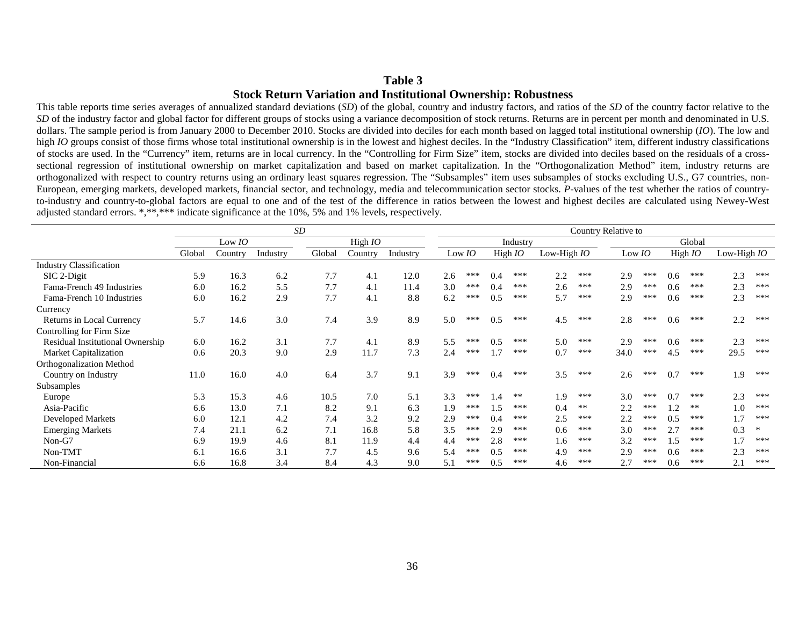## **Table 3 Stock Return Variation and Institutional Ownership: Robustness**

This table reports time series averages of annualized standard deviations (*SD*) of the global, country and industry factors, and ratios of the *SD* of the country factor relative to the *SD* of the industry factor and global factor for different groups of stocks using a variance decomposition of stock returns. Returns are in percent per month and denominated in U.S. dollars. The sample period is from January 2000 to December 2010. Stocks are divided into deciles for each month based on lagged total institutional ownership (*IO*). The low and high *IO* groups consist of those firms whose total institutional ownership is in the lowest and highest deciles. In the "Industry Classification" item, different industry classifications of stocks are used. In the "Currency" item, returns are in local currency. In the "Controlling for Firm Size" item, stocks are divided into deciles based on the residuals of a crosssectional regression of institutional ownership on market capitalization and based on market capitalization. In the "Orthogonalization Method" item, industry returns are orthogonalized with respect to country returns using an ordinary least squares regression. The "Subsamples" item uses subsamples of stocks excluding U.S., G7 countries, non-European, emerging markets, developed markets, financial sector, and technology, media and telecommunication sector stocks. *P*-values of the test whether the ratios of countryto-industry and country-to-global factors are equal to one and of the test of the difference in ratios between the lowest and highest deciles are calculated using Newey-West adjusted standard errors. \*,\*\*,\*\*\* indicate significance at the 10%, 5% and 1% levels, respectively.

|                                  | <b>SD</b> |          |          |        |           | Country Relative to |     |          |     |         |             |     |          |     |     |           |             |        |
|----------------------------------|-----------|----------|----------|--------|-----------|---------------------|-----|----------|-----|---------|-------------|-----|----------|-----|-----|-----------|-------------|--------|
|                                  |           | Low $IO$ |          |        | High $IO$ |                     |     | Industry |     |         |             |     | Global   |     |     |           |             |        |
|                                  | Global    | Country  | Industry | Global | Country   | Industry            |     | Low $IO$ |     | High IO | Low-High IO |     | Low $IO$ |     |     | High $IO$ | Low-High IO |        |
| <b>Industry Classification</b>   |           |          |          |        |           |                     |     |          |     |         |             |     |          |     |     |           |             |        |
| SIC 2-Digit                      | 5.9       | 16.3     | 6.2      | 7.7    | 4.1       | 12.0                | 2.6 | ***      | 0.4 | ***     | 2.2         | *** | 2.9      | *** | 0.6 | ***       | 2.3         | ***    |
| Fama-French 49 Industries        | 6.0       | 16.2     | 5.5      | 7.7    | 4.1       | 11.4                | 3.0 | ***      | 0.4 | ***     | 2.6         | *** | 2.9      | *** | 0.6 | ***       | 2.3         | ***    |
| Fama-French 10 Industries        | 6.0       | 16.2     | 2.9      | 7.7    | 4.1       | 8.8                 | 6.2 | ***      | 0.5 | ***     | 5.7         | *** | 2.9      | *** | 0.6 | ***       | 2.3         | ***    |
| Currency                         |           |          |          |        |           |                     |     |          |     |         |             |     |          |     |     |           |             |        |
| Returns in Local Currency        | 5.7       | 14.6     | 3.0      | 7.4    | 3.9       | 8.9                 | 5.0 | ***      | 0.5 | ***     | 4.5         | *** | 2.8      | *** | 0.6 | ***       | 2.2         | ***    |
| Controlling for Firm Size        |           |          |          |        |           |                     |     |          |     |         |             |     |          |     |     |           |             |        |
| Residual Institutional Ownership | 6.0       | 16.2     | 3.1      | 7.7    | 4.1       | 8.9                 | 5.5 | ***      | 0.5 | ***     | 5.0         | *** | 2.9      | *** | 0.6 | ***       | 2.3         | ***    |
| Market Capitalization            | 0.6       | 20.3     | 9.0      | 2.9    | 11.7      | 7.3                 | 2.4 | ***      | 1.7 | ***     | 0.7         | *** | 34.0     | *** | 4.5 | ***       | 29.5        | ***    |
| Orthogonalization Method         |           |          |          |        |           |                     |     |          |     |         |             |     |          |     |     |           |             |        |
| Country on Industry              | 11.0      | 16.0     | 4.0      | 6.4    | 3.7       | 9.1                 | 3.9 | ***      | 0.4 | ***     | 3.5         | *** | 2.6      | *** | 0.7 | ***       | 1.9         | ***    |
| <b>Subsamples</b>                |           |          |          |        |           |                     |     |          |     |         |             |     |          |     |     |           |             |        |
| Europe                           | 5.3       | 15.3     | 4.6      | 10.5   | 7.0       | 5.1                 | 3.3 | ***      | 1.4 | **      | 1.9         | *** | 3.0      | *** | 0.7 | ***       | 2.3         | ***    |
| Asia-Pacific                     | 6.6       | 13.0     | 7.1      | 8.2    | 9.1       | 6.3                 | 1.9 | ***      | 1.5 | ***     | 0.4         | **  | 2.2      | *** | 1.2 | **        | 1.0         | ***    |
| Developed Markets                | 6.0       | 12.1     | 4.2      | 7.4    | 3.2       | 9.2                 | 2.9 | ***      | 0.4 | ***     | 2.5         | *** | 2.2      | *** | 0.5 | ***       | 1.7         | ***    |
| <b>Emerging Markets</b>          | 7.4       | 21.1     | 6.2      | 7.1    | 16.8      | 5.8                 | 3.5 | ***      | 2.9 | ***     | 0.6         | *** | 3.0      | *** | 27  | ***       | 0.3         | $\ast$ |
| Non-G7                           | 6.9       | 19.9     | 4.6      | 8.1    | 11.9      | 4.4                 | 4.4 | ***      | 2.8 | ***     | 1.6         | *** | 3.2      | *** | 5.، | ***       | 1.7         | ***    |
| Non-TMT                          | 6.1       | 16.6     | 3.1      | 7.7    | 4.5       | 9.6                 | 5.4 | ***      | 0.5 | ***     | 4.9         | *** | 2.9      | *** | 0.6 | ***       | 2.3         | ***    |
| Non-Financial                    | 6.6       | 16.8     | 3.4      | 8.4    | 4.3       | 9.0                 | 5.1 | ***      | 0.5 | ***     | 4.6         | *** | 2.7      | *** | 0.6 | ***       | 2.1         | ***    |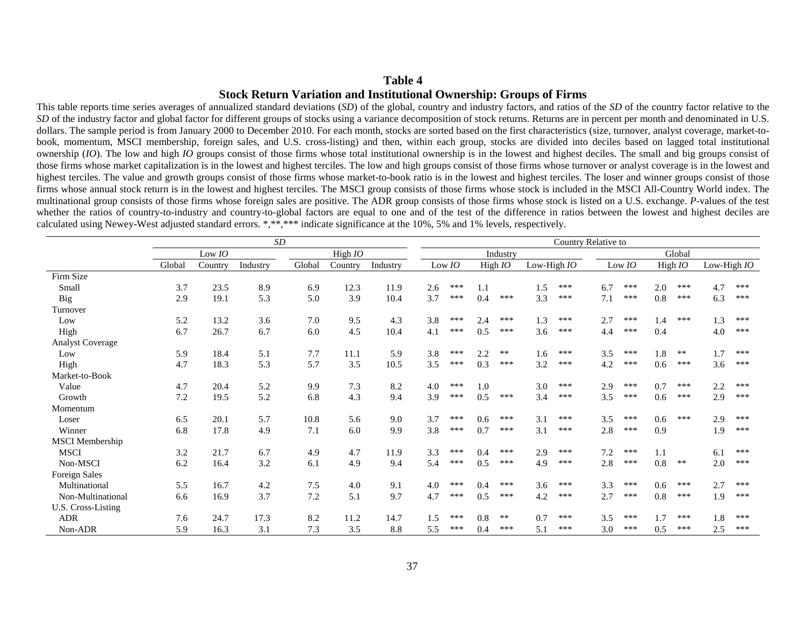## **Table 4 Stock Return Variation and Institutional Ownership: Groups of Firms**

This table reports time series averages of annualized standard deviations (*SD*) of the global, country and industry factors, and ratios of the *SD* of the country factor relative to the *SD* of the industry factor and global factor for different groups of stocks using a variance decomposition of stock returns. Returns are in percent per month and denominated in U.S. dollars. The sample period is from January 2000 to December 2010. For each month, stocks are sorted based on the first characteristics (size, turnover, analyst coverage, market-tobook, momentum, MSCI membership, foreign sales, and U.S. cross-listing) and then, within each group, stocks are divided into deciles based on lagged total institutional ownership (*IO*). The low and high *IO* groups consist of those firms whose total institutional ownership is in the lowest and highest deciles. The small and big groups consist of those firms whose market capitalization is in the lowest and highest terciles. The low and high groups consist of those firms whose turnover or analyst coverage is in the lowest and highest terciles. The value and growth groups consist of those firms whose market-to-book ratio is in the lowest and highest terciles. The loser and winner groups consist of those firms whose annual stock return is in the lowest and highest terciles. The MSCI group consists of those firms whose stock is included in the MSCI All-Country World index. The multinational group consists of those firms whose foreign sales are positive. The ADR group consists of those firms whose stock is listed on a U.S. exchange. *P*-values of the test whether the ratios of country-to-industry and country-to-global factors are equal to one and of the test of the difference in ratios between the lowest and highest deciles are calculated using Newey-West adjusted standard errors. \*,\*\*,\*\*\* indicate significance at the 10%, 5% and 1% levels, respectively.

|                         | SD     |          |          |        |           |          | Country Relative to |          |     |            |     |             |        |          |     |            |             |     |
|-------------------------|--------|----------|----------|--------|-----------|----------|---------------------|----------|-----|------------|-----|-------------|--------|----------|-----|------------|-------------|-----|
|                         |        | Low $IO$ |          |        | High $IO$ |          |                     |          |     | Industry   |     |             | Global |          |     |            |             |     |
|                         | Global | Country  | Industry | Global | Country   | Industry |                     | Low $IO$ |     | High IO    |     | Low-High IO |        | Low $IO$ |     | High IO    | Low-High IO |     |
| Firm Size               |        |          |          |        |           |          |                     |          |     |            |     |             |        |          |     |            |             |     |
| Small                   | 3.7    | 23.5     | 8.9      | 6.9    | 12.3      | 11.9     | 2.6                 | ***      | 1.1 |            | 1.5 | ***         | 6.7    | ***      | 2.0 | ***        | 4.7         | *** |
| Big                     | 2.9    | 19.1     | 5.3      | 5.0    | 3.9       | 10.4     | 3.7                 | ***      | 0.4 | ***        | 3.3 | ***         | 7.1    | ***      | 0.8 | ***        | 6.3         | *** |
| Turnover                |        |          |          |        |           |          |                     |          |     |            |     |             |        |          |     |            |             |     |
| Low                     | 5.2    | 13.2     | 3.6      | 7.0    | 9.5       | 4.3      | 3.8                 | ***      | 2.4 | ***        | 1.3 | ***         | 2.7    | ***      | 1.4 | ***        | 1.3         | *** |
| High                    | 6.7    | 26.7     | 6.7      | 6.0    | 4.5       | 10.4     | 4.1                 | ***      | 0.5 | ***        | 3.6 | ***         | 4.4    | ***      | 0.4 |            | 4.0         | *** |
| <b>Analyst Coverage</b> |        |          |          |        |           |          |                     |          |     |            |     |             |        |          |     |            |             |     |
| Low                     | 5.9    | 18.4     | 5.1      | 7.7    | 11.1      | 5.9      | 3.8                 | ***      | 2.2 | $\ast\ast$ | 1.6 | ***         | 3.5    | ***      | 1.8 | $\ast\ast$ | 1.7         | *** |
| High                    | 4.7    | 18.3     | 5.3      | 5.7    | 3.5       | 10.5     | 3.5                 | ***      | 0.3 | ***        | 3.2 | ***         | 4.2    | ***      | 0.6 | ***        | 3.6         | *** |
| Market-to-Book          |        |          |          |        |           |          |                     |          |     |            |     |             |        |          |     |            |             |     |
| Value                   | 4.7    | 20.4     | 5.2      | 9.9    | 7.3       | 8.2      | 4.0                 | ***      | 1.0 |            | 3.0 | ***         | 2.9    | ***      | 0.7 | ***        | 2.2         | *** |
| Growth                  | 7.2    | 19.5     | 5.2      | 6.8    | 4.3       | 9.4      | 3.9                 | ***      | 0.5 | ***        | 3.4 | ***         | 3.5    | ***      | 0.6 | ***        | 2.9         | *** |
| Momentum                |        |          |          |        |           |          |                     |          |     |            |     |             |        |          |     |            |             |     |
| Loser                   | 6.5    | 20.1     | 5.7      | 10.8   | 5.6       | 9.0      | 3.7                 | ***      | 0.6 | ***        | 3.1 | ***         | 3.5    | ***      | 0.6 | ***        | 2.9         | *** |
| Winner                  | 6.8    | 17.8     | 4.9      | 7.1    | 6.0       | 9.9      | 3.8                 | ***      | 0.7 | ***        | 3.1 | ***         | 2.8    | ***      | 0.9 |            | 1.9         | *** |
| <b>MSCI</b> Membership  |        |          |          |        |           |          |                     |          |     |            |     |             |        |          |     |            |             |     |
| <b>MSCI</b>             | 3.2    | 21.7     | 6.7      | 4.9    | 4.7       | 11.9     | 3.3                 | ***      | 0.4 | ***        | 2.9 | ***         | 7.2    | ***      | 1.1 |            | 6.1         | *** |
| Non-MSCI                | 6.2    | 16.4     | 3.2      | 6.1    | 4.9       | 9.4      | 5.4                 | ***      | 0.5 | ***        | 4.9 | ***         | 2.8    | ***      | 0.8 | $**$       | 2.0         | *** |
| <b>Foreign Sales</b>    |        |          |          |        |           |          |                     |          |     |            |     |             |        |          |     |            |             |     |
| Multinational           | 5.5    | 16.7     | 4.2      | 7.5    | 4.0       | 9.1      | 4.0                 | ***      | 0.4 | ***        | 3.6 | ***         | 3.3    | ***      | 0.6 | ***        | 2.7         | *** |
| Non-Multinational       | 6.6    | 16.9     | 3.7      | 7.2    | 5.1       | 9.7      | 4.7                 | ***      | 0.5 | ***        | 4.2 | ***         | 2.7    | ***      | 0.8 | ***        | 1.9         | *** |
| U.S. Cross-Listing      |        |          |          |        |           |          |                     |          |     |            |     |             |        |          |     |            |             |     |
| <b>ADR</b>              | 7.6    | 24.7     | 17.3     | 8.2    | 11.2      | 14.7     | 1.5                 | ***      | 0.8 | $***$      | 0.7 | ***         | 3.5    | ***      | 1.7 | ***        | 1.8         | *** |
| Non-ADR                 | 5.9    | 16.3     | 3.1      | 7.3    | 3.5       | 8.8      | 5.5                 | ***      | 0.4 | ***        | 5.1 | ***         | 3.0    | ***      | 0.5 | ***        | 2.5         | *** |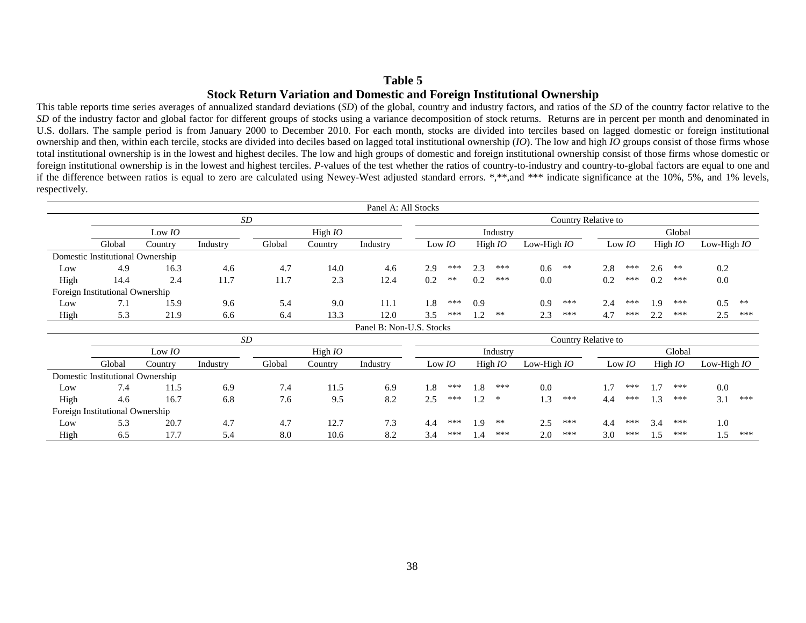# **Table 5 Stock Return Variation and Domestic and Foreign Institutional Ownership**

This table reports time series averages of annualized standard deviations (*SD*) of the global, country and industry factors, and ratios of the *SD* of the country factor relative to the *SD* of the industry factor and global factor for different groups of stocks using a variance decomposition of stock returns. Returns are in percent per month and denominated in U.S. dollars. The sample period is from January 2000 to December 2010. For each month, stocks are divided into terciles based on lagged domestic or foreign institutional ownership and then, within each tercile, stocks are divided into deciles based on lagged total institutional ownership (*IO*). The low and high *IO* groups consist of those firms whose total institutional ownership is in the lowest and highest deciles. The low and high groups of domestic and foreign institutional ownership consist of those firms whose domestic or foreign institutional ownership is in the lowest and highest terciles. P-values of the test whether the ratios of country-to-industry and country-to-global factors are equal to one and if the difference between ratios is equal to zero are calculated using Newey-West adjusted standard errors. \*,\*\*,and \*\*\* indicate significance at the 10%, 5%, and 1% levels, respectively.

|      |                                  |          |          |        |           | Panel A: All Stocks      |                     |          |     |          |             |                     |     |          |     |           |               |     |
|------|----------------------------------|----------|----------|--------|-----------|--------------------------|---------------------|----------|-----|----------|-------------|---------------------|-----|----------|-----|-----------|---------------|-----|
|      |                                  |          | SD       |        |           |                          | Country Relative to |          |     |          |             |                     |     |          |     |           |               |     |
|      |                                  | Low $IO$ |          |        | High IO   |                          |                     | Industry |     |          |             | Global              |     |          |     |           |               |     |
|      | Global                           | Country  | Industry | Global | Country   | Industry                 | Low $IO$            |          |     | High IO  | Low-High IO |                     |     | Low $IO$ |     | High IO   | Low-High $IO$ |     |
|      | Domestic Institutional Ownership |          |          |        |           |                          |                     |          |     |          |             |                     |     |          |     |           |               |     |
| Low  | 4.9                              | 16.3     | 4.6      | 4.7    | 14.0      | 4.6                      | 2.9                 | ***      | 2.3 | ***      | 0.6         | $**$                | 2.8 | ***      | 2.6 | **        | 0.2           |     |
| High | 14.4                             | 2.4      | 11.7     | 11.7   | 2.3       | 12.4                     | 0.2                 | $**$     | 0.2 | ***      | 0.0         |                     | 0.2 | ***      | 0.2 | ***       | 0.0           |     |
|      | Foreign Institutional Ownership  |          |          |        |           |                          |                     |          |     |          |             |                     |     |          |     |           |               |     |
| Low  | 7.1                              | 15.9     | 9.6      | 5.4    | 9.0       | 11.1                     | 1.8                 | ***      | 0.9 |          | 0.9         | ***                 | 2.4 | ***      | 1.9 | ***       | 0.5           | **  |
| High | 5.3                              | 21.9     | 6.6      | 6.4    | 13.3      | 12.0                     | 3.5                 | ***      | 1.2 | **       | 2.3         | ***                 | 4.7 | ***      | 2.2 | ***       | 2.5           | *** |
|      |                                  |          |          |        |           | Panel B: Non-U.S. Stocks |                     |          |     |          |             |                     |     |          |     |           |               |     |
|      |                                  |          | SD       |        |           |                          |                     |          |     |          |             | Country Relative to |     |          |     |           |               |     |
|      |                                  | Low $IO$ |          |        | High $IO$ |                          |                     |          |     | Industry |             |                     |     |          |     | Global    |               |     |
|      | Global                           | Country  | Industry | Global | Country   | Industry                 | Low $IO$            |          |     | High IO  | Low-High IO |                     |     | Low $IO$ |     | High $IO$ | Low-High IO   |     |
|      | Domestic Institutional Ownership |          |          |        |           |                          |                     |          |     |          |             |                     |     |          |     |           |               |     |
| Low  | 7.4                              | 11.5     | 6.9      | 7.4    | 11.5      | 6.9                      | 1.8                 | ***      | 1.8 | ***      | 0.0         |                     | 1.7 | ***      | 1.7 | ***       | 0.0           |     |
| High | 4.6                              | 16.7     | 6.8      | 7.6    | 9.5       | 8.2                      | 2.5                 | ***      | 1.2 | $\ast$   | 1.3         | ***                 | 4.4 | ***      | 1.3 | ***       | 3.1           | *** |
|      | Foreign Institutional Ownership  |          |          |        |           |                          |                     |          |     |          |             |                     |     |          |     |           |               |     |
| Low  | 5.3                              | 20.7     | 4.7      | 4.7    | 12.7      | 7.3                      | 4.4                 | ***      | 1.9 | **       | 2.5         | ***                 | 4.4 | ***      | 3.4 | ***       | 1.0           |     |
| High | 6.5                              | 17.7     | 5.4      | 8.0    | 10.6      | 8.2                      | 3.4                 | ***      | 1.4 | ***      | 2.0         | ***                 | 3.0 | ***      | 1.5 | ***       | 1.5           | *** |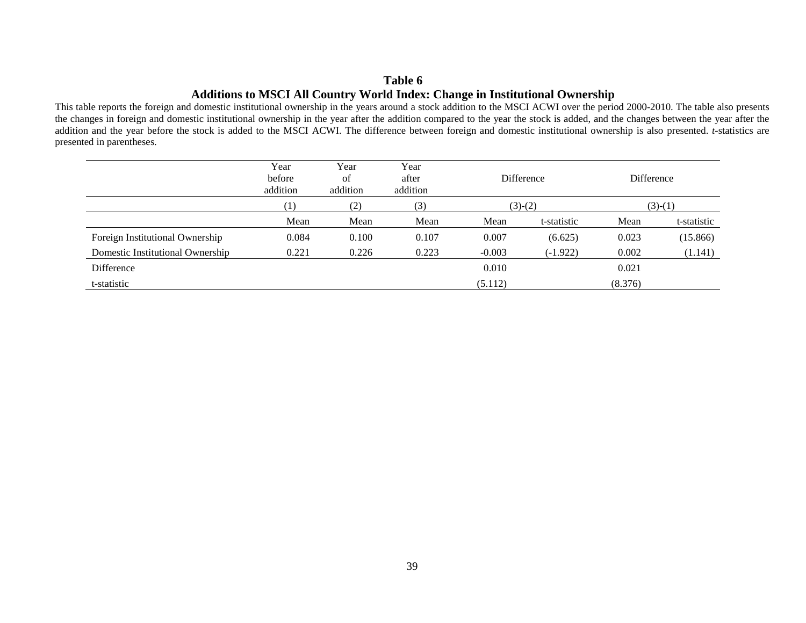# **Table 6 Additions to MSCI All Country World Index: Change in Institutional Ownership**

This table reports the foreign and domestic institutional ownership in the years around a stock addition to the MSCI ACWI over the period 2000-2010. The table also presents the changes in foreign and domestic institutional ownership in the year after the addition compared to the year the stock is added, and the changes between the year after the addition and the year before the stock is added to the MSCI ACWI. The difference between foreign and domestic institutional ownership is also presented. *t-*statistics are presented in parentheses.

|                                  | Year<br>before<br>addition | Year<br>of<br>addition | Year<br>after<br>addition |           | <b>Difference</b> | Difference |             |
|----------------------------------|----------------------------|------------------------|---------------------------|-----------|-------------------|------------|-------------|
|                                  | $\left(1\right)$           | (2)                    | (3)                       | $(3)-(2)$ |                   |            | $(3)-(1)$   |
|                                  | Mean                       | Mean                   | Mean                      | Mean      | t-statistic       | Mean       | t-statistic |
| Foreign Institutional Ownership  | 0.084                      | 0.100                  | 0.107                     | 0.007     | (6.625)           | 0.023      | (15.866)    |
| Domestic Institutional Ownership | 0.221                      | 0.226                  | 0.223                     | $-0.003$  | $(-1.922)$        | 0.002      | (1.141)     |
| Difference                       |                            |                        |                           | 0.010     |                   | 0.021      |             |
| t-statistic                      |                            |                        |                           | (5.112)   |                   | (8.376)    |             |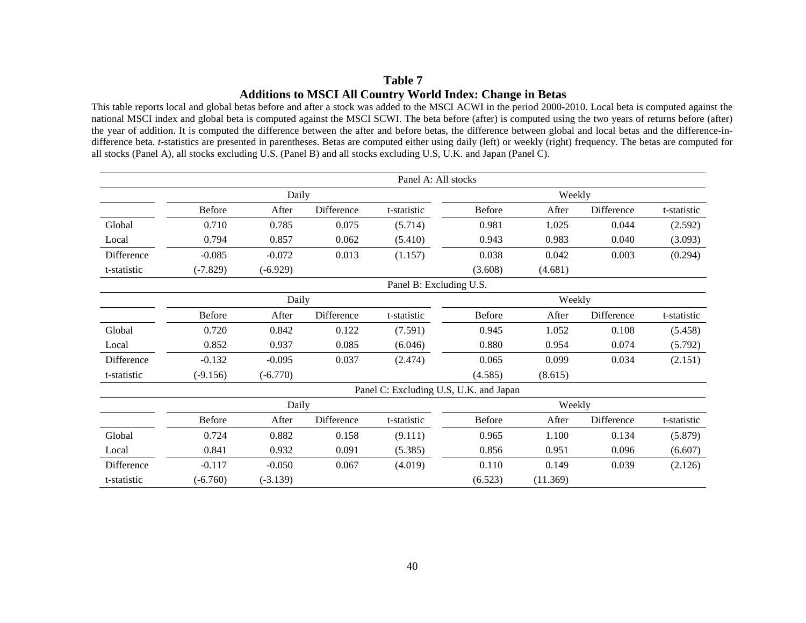# **Table 7 Additions to MSCI All Country World Index: Change in Betas**

This table reports local and global betas before and after a stock was added to the MSCI ACWI in the period 2000-2010. Local beta is computed against the national MSCI index and global beta is computed against the MSCI SCWI. The beta before (after) is computed using the two years of returns before (after) the year of addition. It is computed the difference between the after and before betas, the difference between global and local betas and the difference-indifference beta. *t*-statistics are presented in parentheses. Betas are computed either using daily (left) or weekly (right) frequency. The betas are computed for all stocks (Panel A), all stocks excluding U.S. (Panel B) and all stocks excluding U.S, U.K. and Japan (Panel C).

|             |               |            |            | Panel A: All stocks     |                                        |          |            |             |
|-------------|---------------|------------|------------|-------------------------|----------------------------------------|----------|------------|-------------|
|             |               | Daily      |            |                         |                                        | Weekly   |            |             |
|             | <b>Before</b> | After      | Difference | t-statistic             | <b>Before</b>                          | After    | Difference | t-statistic |
| Global      | 0.710         | 0.785      | 0.075      | (5.714)                 | 0.981                                  | 1.025    | 0.044      | (2.592)     |
| Local       | 0.794         | 0.857      | 0.062      | (5.410)                 | 0.943                                  | 0.983    | 0.040      | (3.093)     |
| Difference  | $-0.085$      | $-0.072$   | 0.013      | (1.157)                 | 0.038                                  | 0.042    | 0.003      | (0.294)     |
| t-statistic | $(-7.829)$    | $(-6.929)$ |            |                         | (3.608)                                | (4.681)  |            |             |
|             |               |            |            | Panel B: Excluding U.S. |                                        |          |            |             |
|             |               | Daily      |            |                         |                                        | Weekly   |            |             |
|             | <b>Before</b> | After      | Difference | t-statistic             | Before                                 | After    | Difference | t-statistic |
| Global      | 0.720         | 0.842      | 0.122      | (7.591)                 | 0.945                                  | 1.052    | 0.108      | (5.458)     |
| Local       | 0.852         | 0.937      | 0.085      | (6.046)                 | 0.880                                  | 0.954    | 0.074      | (5.792)     |
| Difference  | $-0.132$      | $-0.095$   | 0.037      | (2.474)                 | 0.065                                  | 0.099    | 0.034      | (2.151)     |
| t-statistic | $(-9.156)$    | $(-6.770)$ |            |                         | (4.585)                                | (8.615)  |            |             |
|             |               |            |            |                         | Panel C: Excluding U.S, U.K. and Japan |          |            |             |
|             |               | Daily      |            |                         |                                        | Weekly   |            |             |
|             | <b>Before</b> | After      | Difference | t-statistic             | Before                                 | After    | Difference | t-statistic |
| Global      | 0.724         | 0.882      | 0.158      | (9.111)                 | 0.965                                  | 1.100    | 0.134      | (5.879)     |
| Local       | 0.841         | 0.932      | 0.091      | (5.385)                 | 0.856                                  | 0.951    | 0.096      | (6.607)     |
| Difference  | $-0.117$      | $-0.050$   | 0.067      | (4.019)                 | 0.110                                  | 0.149    | 0.039      | (2.126)     |
| t-statistic | $(-6.760)$    | $(-3.139)$ |            |                         | (6.523)                                | (11.369) |            |             |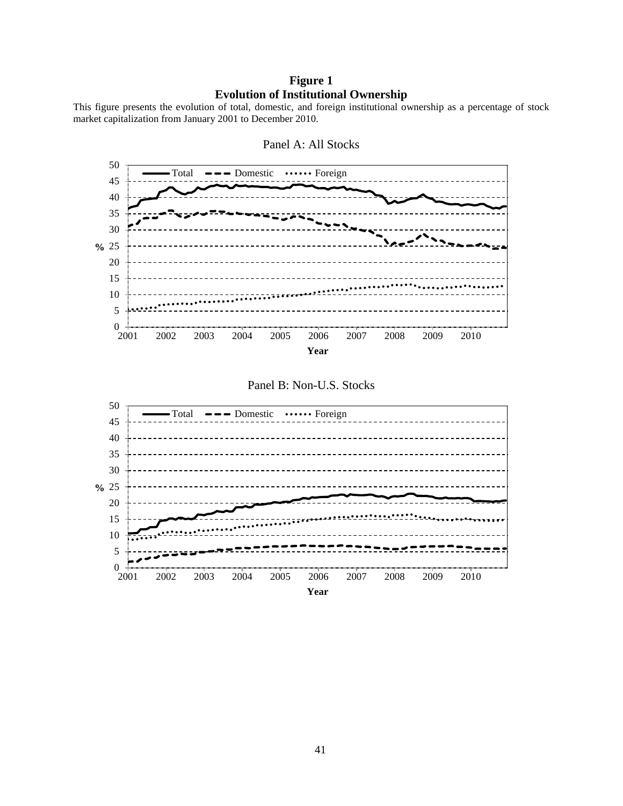# **Figure 1 Evolution of Institutional Ownership**

This figure presents the evolution of total, domestic, and foreign institutional ownership as a percentage of stock market capitalization from January 2001 to December 2010.



Panel A: All Stocks

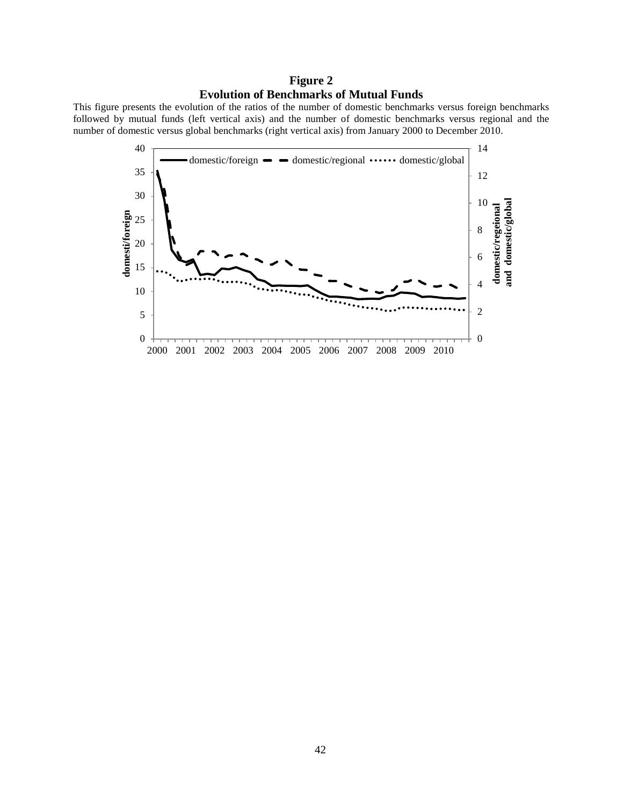# **Figure 2 Evolution of Benchmarks of Mutual Funds**

This figure presents the evolution of the ratios of the number of domestic benchmarks versus foreign benchmarks followed by mutual funds (left vertical axis) and the number of domestic benchmarks versus regional and the number of domestic versus global benchmarks (right vertical axis) from January 2000 to December 2010.

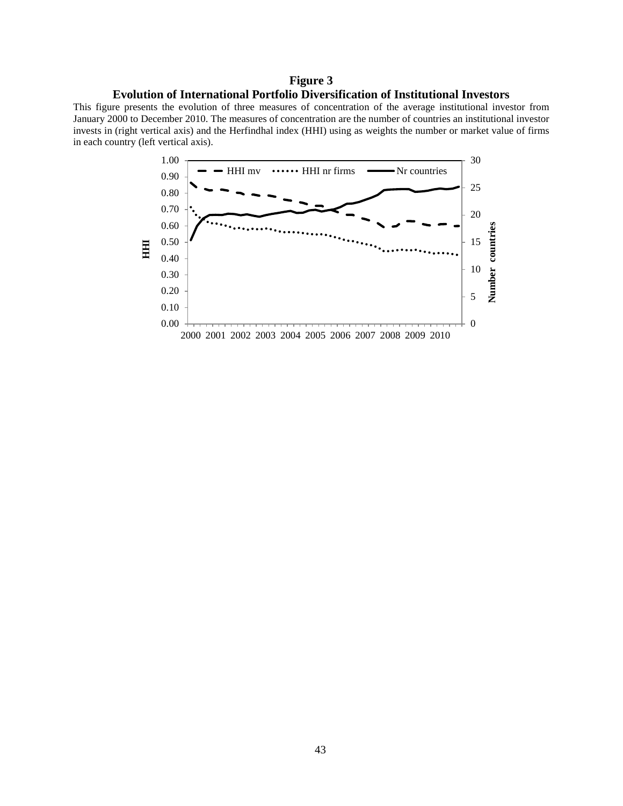# **Figure 3 Evolution of International Portfolio Diversification of Institutional Investors**

This figure presents the evolution of three measures of concentration of the average institutional investor from January 2000 to December 2010. The measures of concentration are the number of countries an institutional investor invests in (right vertical axis) and the Herfindhal index (HHI) using as weights the number or market value of firms in each country (left vertical axis).

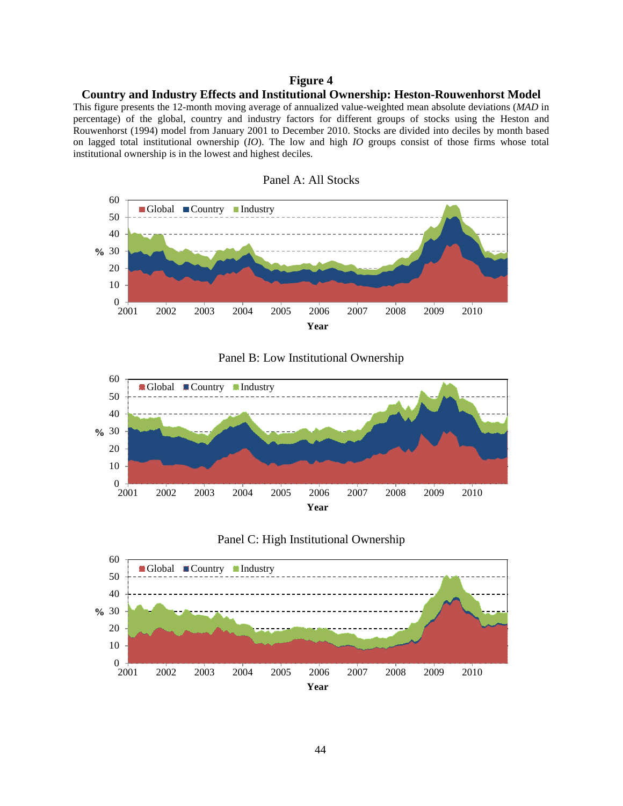#### **Country and Industry Effects and Institutional Ownership: Heston-Rouwenhorst Model**

This figure presents the 12-month moving average of annualized value-weighted mean absolute deviations (*MAD* in percentage) of the global, country and industry factors for different groups of stocks using the Heston and Rouwenhorst (1994) model from January 2001 to December 2010. Stocks are divided into deciles by month based on lagged total institutional ownership (*IO*). The low and high *IO* groups consist of those firms whose total institutional ownership is in the lowest and highest deciles.



Panel A: All Stocks



Panel B: Low Institutional Ownership



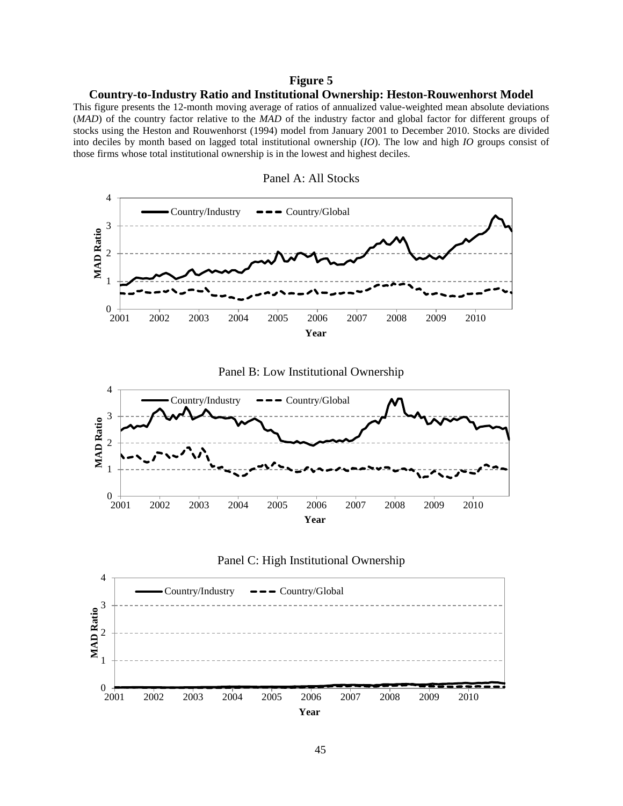#### **Country-to-Industry Ratio and Institutional Ownership: Heston-Rouwenhorst Model**

This figure presents the 12-month moving average of ratios of annualized value-weighted mean absolute deviations (*MAD*) of the country factor relative to the *MAD* of the industry factor and global factor for different groups of stocks using the Heston and Rouwenhorst (1994) model from January 2001 to December 2010. Stocks are divided into deciles by month based on lagged total institutional ownership (*IO*). The low and high *IO* groups consist of those firms whose total institutional ownership is in the lowest and highest deciles.

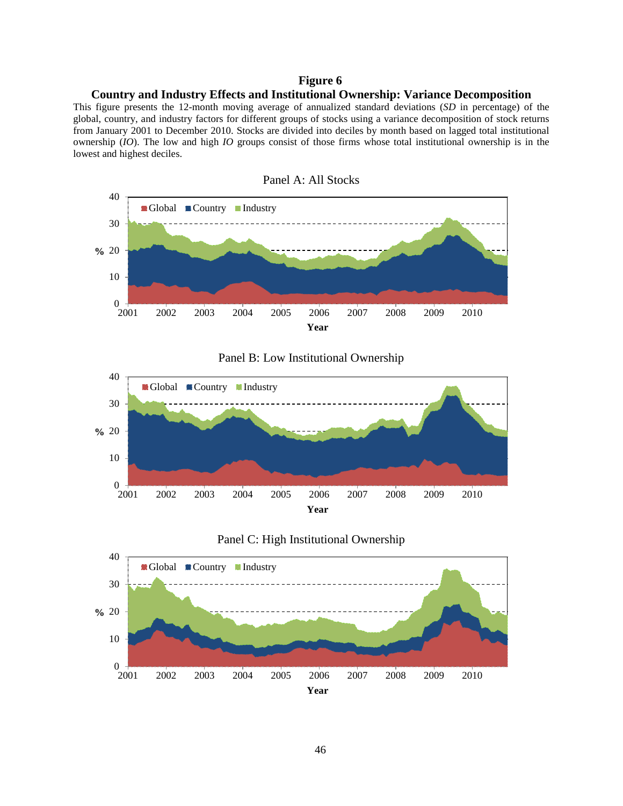#### **Country and Industry Effects and Institutional Ownership: Variance Decomposition**

This figure presents the 12-month moving average of annualized standard deviations (*SD* in percentage) of the global, country, and industry factors for different groups of stocks using a variance decomposition of stock returns from January 2001 to December 2010. Stocks are divided into deciles by month based on lagged total institutional ownership (*IO*). The low and high *IO* groups consist of those firms whose total institutional ownership is in the lowest and highest deciles.



#### Panel B: Low Institutional Ownership





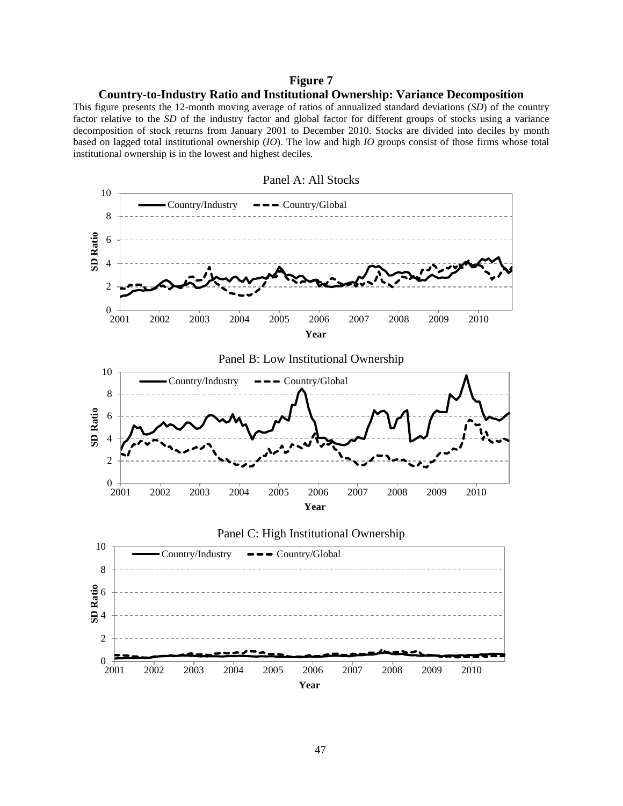## **Country-to-Industry Ratio and Institutional Ownership: Variance Decomposition**

This figure presents the 12-month moving average of ratios of annualized standard deviations (*SD*) of the country factor relative to the *SD* of the industry factor and global factor for different groups of stocks using a variance decomposition of stock returns from January 2001 to December 2010. Stocks are divided into deciles by month based on lagged total institutional ownership (*IO*). The low and high *IO* groups consist of those firms whose total institutional ownership is in the lowest and highest deciles.